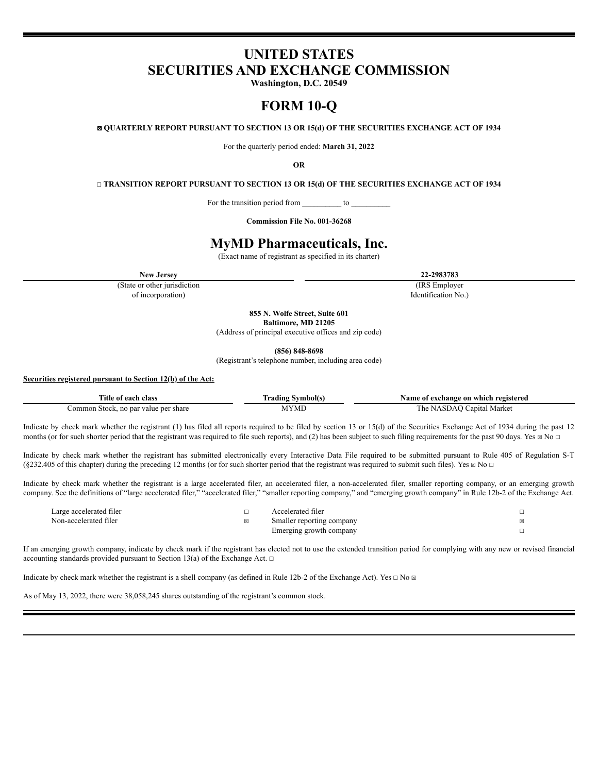# **UNITED STATES SECURITIES AND EXCHANGE COMMISSION**

**Washington, D.C. 20549**

# **FORM 10-Q**

☒ **QUARTERLY REPORT PURSUANT TO SECTION 13 OR 15(d) OF THE SECURITIES EXCHANGE ACT OF 1934**

For the quarterly period ended: **March 31, 2022**

**OR**

☐ **TRANSITION REPORT PURSUANT TO SECTION 13 OR 15(d) OF THE SECURITIES EXCHANGE ACT OF 1934**

For the transition period from \_\_\_\_\_\_\_\_\_\_ to \_

**Commission File No. 001-36268**

# **MyMD Pharmaceuticals, Inc.**

(Exact name of registrant as specified in its charter)

**New Jersey 22-2983783**

(State or other jurisdiction of incorporation)

(IRS Employer Identification No.)

**855 N. Wolfe Street, Suite 601**

**Baltimore, MD 21205** (Address of principal executive offices and zip code)

**(856) 848-8698**

(Registrant's telephone number, including area code)

**Securities registered pursuant to Section 12(b) of the Act:**

| Title of each class                  | [rading Svmbol(s) | Name of exchange on which registered |  |  |  |  |  |
|--------------------------------------|-------------------|--------------------------------------|--|--|--|--|--|
| Common Stock, no par value per share | AYMD              | The .<br>e NASDAO Capital Market     |  |  |  |  |  |

Indicate by check mark whether the registrant (1) has filed all reports required to be filed by section 13 or 15(d) of the Securities Exchange Act of 1934 during the past 12 months (or for such shorter period that the registrant was required to file such reports), and (2) has been subject to such filing requirements for the past 90 days. Yes  $\boxtimes$  No  $\Box$ 

Indicate by check mark whether the registrant has submitted electronically every Interactive Data File required to be submitted pursuant to Rule 405 of Regulation S-T (§232.405 of this chapter) during the preceding 12 months (or for such shorter period that the registrant was required to submit such files). Yes  $\boxtimes$  No  $\Box$ 

Indicate by check mark whether the registrant is a large accelerated filer, an accelerated filer, a non-accelerated filer, smaller reporting company, or an emerging growth company. See the definitions of "large accelerated filer," "accelerated filer," "smaller reporting company," and "emerging growth company" in Rule 12b-2 of the Exchange Act.

| Large accelerated filer | Accelerated filer         |  |
|-------------------------|---------------------------|--|
| Non-accelerated filer   | Smaller reporting company |  |
|                         | Emerging growth company   |  |

If an emerging growth company, indicate by check mark if the registrant has elected not to use the extended transition period for complying with any new or revised financial accounting standards provided pursuant to Section 13(a) of the Exchange Act.  $\Box$ 

Indicate by check mark whether the registrant is a shell company (as defined in Rule 12b-2 of the Exchange Act). Yes  $\Box$  No  $\Box$ 

As of May 13, 2022, there were 38,058,245 shares outstanding of the registrant's common stock.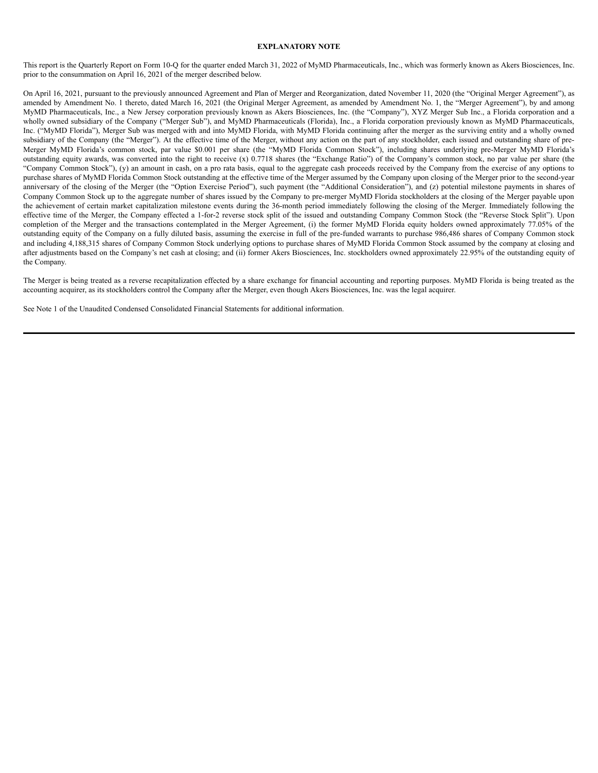#### **EXPLANATORY NOTE**

This report is the Quarterly Report on Form 10-Q for the quarter ended March 31, 2022 of MyMD Pharmaceuticals, Inc., which was formerly known as Akers Biosciences, Inc. prior to the consummation on April 16, 2021 of the merger described below.

On April 16, 2021, pursuant to the previously announced Agreement and Plan of Merger and Reorganization, dated November 11, 2020 (the "Original Merger Agreement"), as amended by Amendment No. 1 thereto, dated March 16, 2021 (the Original Merger Agreement, as amended by Amendment No. 1, the "Merger Agreement"), by and among MyMD Pharmaceuticals, Inc., a New Jersey corporation previously known as Akers Biosciences, Inc. (the "Company"), XYZ Merger Sub Inc., a Florida corporation and a wholly owned subsidiary of the Company ("Merger Sub"), and MyMD Pharmaceuticals (Florida), Inc., a Florida corporation previously known as MyMD Pharmaceuticals, Inc. ("MyMD Florida"), Merger Sub was merged with and into MyMD Florida, with MyMD Florida continuing after the merger as the surviving entity and a wholly owned subsidiary of the Company (the "Merger"). At the effective time of the Merger, without any action on the part of any stockholder, each issued and outstanding share of pre-Merger MyMD Florida's common stock, par value \$0.001 per share (the "MyMD Florida Common Stock"), including shares underlying pre-Merger MyMD Florida's outstanding equity awards, was converted into the right to receive (x) 0.7718 shares (the "Exchange Ratio") of the Company's common stock, no par value per share (the "Company Common Stock"), (y) an amount in cash, on a pro rata basis, equal to the aggregate cash proceeds received by the Company from the exercise of any options to purchase shares of MyMD Florida Common Stock outstanding at the effective time of the Merger assumed by the Company upon closing of the Merger prior to the second-year anniversary of the closing of the Merger (the "Option Exercise Period"), such payment (the "Additional Consideration"), and (z) potential milestone payments in shares of Company Common Stock up to the aggregate number of shares issued by the Company to pre-merger MyMD Florida stockholders at the closing of the Merger payable upon the achievement of certain market capitalization milestone events during the 36-month period immediately following the closing of the Merger. Immediately following the effective time of the Merger, the Company effected a 1-for-2 reverse stock split of the issued and outstanding Company Common Stock (the "Reverse Stock Split"). Upon completion of the Merger and the transactions contemplated in the Merger Agreement, (i) the former MyMD Florida equity holders owned approximately 77.05% of the outstanding equity of the Company on a fully diluted basis, assuming the exercise in full of the pre-funded warrants to purchase 986,486 shares of Company Common stock and including 4,188,315 shares of Company Common Stock underlying options to purchase shares of MyMD Florida Common Stock assumed by the company at closing and after adjustments based on the Company's net cash at closing; and (ii) former Akers Biosciences, Inc. stockholders owned approximately 22.95% of the outstanding equity of the Company.

The Merger is being treated as a reverse recapitalization effected by a share exchange for financial accounting and reporting purposes. MyMD Florida is being treated as the accounting acquirer, as its stockholders control the Company after the Merger, even though Akers Biosciences, Inc. was the legal acquirer.

See Note 1 of the Unaudited Condensed Consolidated Financial Statements for additional information.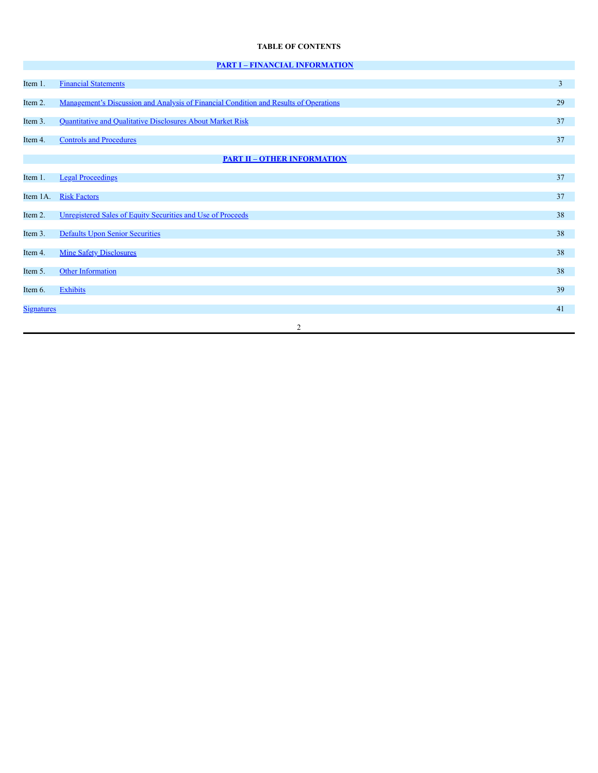## **TABLE OF CONTENTS**

# **PART I – FINANCIAL [INFORMATION](#page-3-0)**

| Item 1.           | <b>Financial Statements</b>                                                           | $\mathbf{3}$ |
|-------------------|---------------------------------------------------------------------------------------|--------------|
| Item 2.           | Management's Discussion and Analysis of Financial Condition and Results of Operations | 29           |
| Item 3.           | Quantitative and Qualitative Disclosures About Market Risk                            | 37           |
| Item 4.           | <b>Controls and Procedures</b>                                                        | 37           |
|                   | <b>PART II - OTHER INFORMATION</b>                                                    |              |
| Item 1.           | <b>Legal Proceedings</b>                                                              | 37           |
| Item 1A.          | <b>Risk Factors</b>                                                                   | 37           |
| Item 2.           | Unregistered Sales of Equity Securities and Use of Proceeds                           | 38           |
| Item 3.           | <b>Defaults Upon Senior Securities</b>                                                | 38           |
| Item 4.           | <b>Mine Safety Disclosures</b>                                                        | 38           |
| Item 5.           | <b>Other Information</b>                                                              | 38           |
| Item 6.           | Exhibits                                                                              | 39           |
| <b>Signatures</b> |                                                                                       | 41           |
|                   | $\mathcal{D}$                                                                         |              |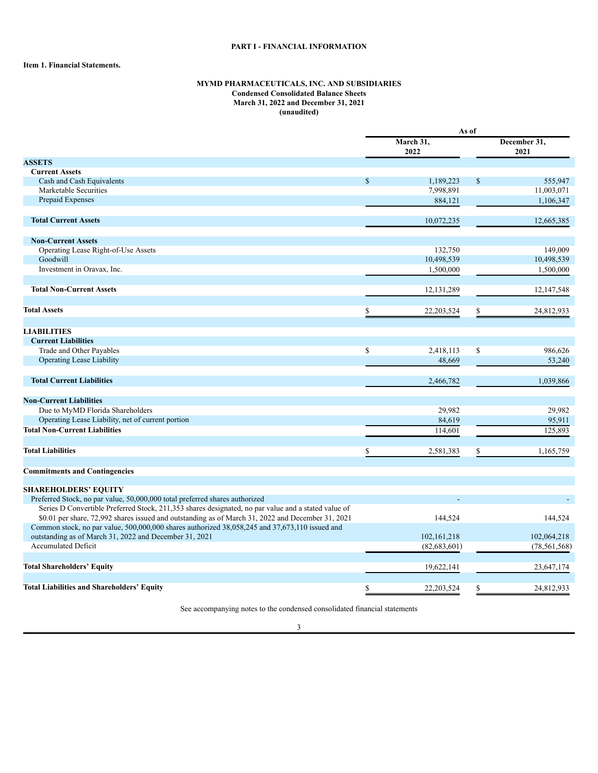## <span id="page-3-0"></span>**PART I - FINANCIAL INFORMATION**

## <span id="page-3-1"></span>**Item 1. Financial Statements.**

## **MYMD PHARMACEUTICALS, INC. AND SUBSIDIARIES Condensed Consolidated Balance Sheets March 31, 2022 and December 31, 2021 (unaudited)**

|                                                                                                                                                                                                          | As of        |                   |              |                      |  |
|----------------------------------------------------------------------------------------------------------------------------------------------------------------------------------------------------------|--------------|-------------------|--------------|----------------------|--|
|                                                                                                                                                                                                          |              | March 31,<br>2022 |              | December 31,<br>2021 |  |
| <b>ASSETS</b>                                                                                                                                                                                            |              |                   |              |                      |  |
| <b>Current Assets</b>                                                                                                                                                                                    |              |                   |              |                      |  |
| Cash and Cash Equivalents                                                                                                                                                                                | $\mathbb{S}$ | 1,189,223         | $\mathbb{S}$ | 555,947              |  |
| Marketable Securities                                                                                                                                                                                    |              | 7,998,891         |              | 11,003,071           |  |
| Prepaid Expenses                                                                                                                                                                                         |              | 884,121           |              | 1,106,347            |  |
| <b>Total Current Assets</b>                                                                                                                                                                              |              | 10,072,235        |              | 12,665,385           |  |
| <b>Non-Current Assets</b>                                                                                                                                                                                |              |                   |              |                      |  |
| Operating Lease Right-of-Use Assets                                                                                                                                                                      |              | 132,750           |              | 149,009              |  |
| Goodwill                                                                                                                                                                                                 |              | 10,498,539        |              | 10,498,539           |  |
| Investment in Oravax, Inc.                                                                                                                                                                               |              | 1,500,000         |              | 1,500,000            |  |
| <b>Total Non-Current Assets</b>                                                                                                                                                                          |              | 12,131,289        |              | 12,147,548           |  |
| <b>Total Assets</b>                                                                                                                                                                                      | S            | 22,203,524        | \$           | 24,812,933           |  |
|                                                                                                                                                                                                          |              |                   |              |                      |  |
| <b>LIABILITIES</b>                                                                                                                                                                                       |              |                   |              |                      |  |
| <b>Current Liabilities</b>                                                                                                                                                                               |              |                   |              |                      |  |
| Trade and Other Payables                                                                                                                                                                                 | \$           | 2,418,113         | \$           | 986,626              |  |
| Operating Lease Liability                                                                                                                                                                                |              | 48,669            |              | 53,240               |  |
| <b>Total Current Liabilities</b>                                                                                                                                                                         |              | 2,466,782         |              | 1,039,866            |  |
| <b>Non-Current Liabilities</b>                                                                                                                                                                           |              |                   |              |                      |  |
| Due to MyMD Florida Shareholders                                                                                                                                                                         |              | 29,982            |              | 29,982               |  |
| Operating Lease Liability, net of current portion                                                                                                                                                        |              | 84,619            |              | 95,911               |  |
| <b>Total Non-Current Liabilities</b>                                                                                                                                                                     |              | 114.601           |              | 125,893              |  |
| <b>Total Liabilities</b>                                                                                                                                                                                 |              | 2,581,383         |              | 1,165,759            |  |
| <b>Commitments and Contingencies</b>                                                                                                                                                                     |              |                   |              |                      |  |
| <b>SHAREHOLDERS' EQUITY</b>                                                                                                                                                                              |              |                   |              |                      |  |
| Preferred Stock, no par value, 50,000,000 total preferred shares authorized                                                                                                                              |              |                   |              |                      |  |
| Series D Convertible Preferred Stock, 211,353 shares designated, no par value and a stated value of<br>\$0.01 per share, 72,992 shares issued and outstanding as of March 31, 2022 and December 31, 2021 |              | 144,524           |              | 144,524              |  |
| Common stock, no par value, 500,000,000 shares authorized 38,058,245 and 37,673,110 issued and                                                                                                           |              |                   |              |                      |  |
| outstanding as of March 31, 2022 and December 31, 2021                                                                                                                                                   |              | 102, 161, 218     |              | 102,064,218          |  |
| <b>Accumulated Deficit</b>                                                                                                                                                                               |              | (82, 683, 601)    |              | (78, 561, 568)       |  |
| <b>Total Shareholders' Equity</b>                                                                                                                                                                        |              | 19,622,141        |              | 23,647,174           |  |
|                                                                                                                                                                                                          |              |                   |              |                      |  |
| <b>Total Liabilities and Shareholders' Equity</b>                                                                                                                                                        | \$           | 22,203,524        | \$           | 24,812,933           |  |

See accompanying notes to the condensed consolidated financial statements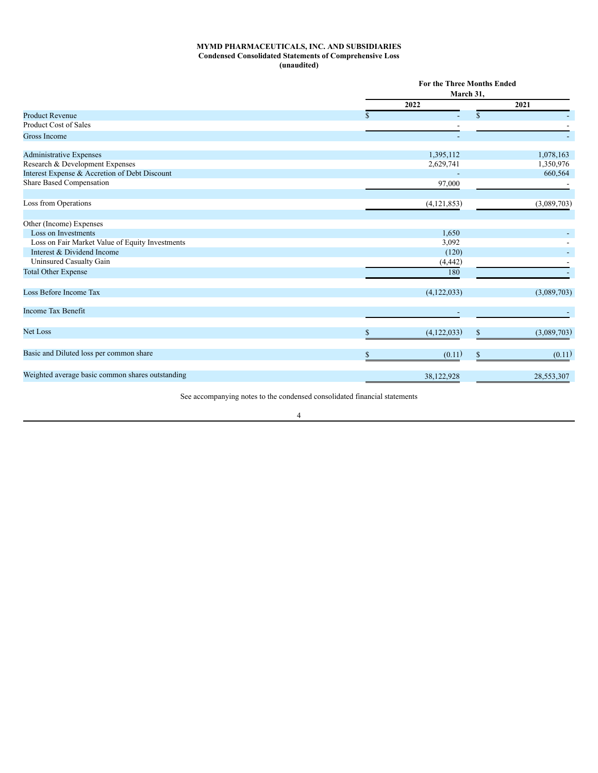## **MYMD PHARMACEUTICALS, INC. AND SUBSIDIARIES Condensed Consolidated Statements of Comprehensive Loss (unaudited)**

|                                                  | <b>For the Three Months Ended</b><br>March 31, |               |              |             |  |  |
|--------------------------------------------------|------------------------------------------------|---------------|--------------|-------------|--|--|
|                                                  |                                                | 2022          |              | 2021        |  |  |
| <b>Product Revenue</b>                           |                                                |               | $\mathbb{S}$ |             |  |  |
| <b>Product Cost of Sales</b>                     |                                                |               |              |             |  |  |
| <b>Gross Income</b>                              |                                                |               |              |             |  |  |
| <b>Administrative Expenses</b>                   |                                                | 1,395,112     |              | 1,078,163   |  |  |
| Research & Development Expenses                  |                                                | 2,629,741     |              | 1,350,976   |  |  |
| Interest Expense & Accretion of Debt Discount    |                                                |               |              | 660,564     |  |  |
| Share Based Compensation                         |                                                | 97,000        |              |             |  |  |
| Loss from Operations                             |                                                | (4, 121, 853) |              | (3,089,703) |  |  |
| Other (Income) Expenses                          |                                                |               |              |             |  |  |
| Loss on Investments                              |                                                | 1,650         |              |             |  |  |
| Loss on Fair Market Value of Equity Investments  |                                                | 3,092         |              |             |  |  |
| Interest & Dividend Income                       |                                                | (120)         |              |             |  |  |
| Uninsured Casualty Gain                          |                                                | (4, 442)      |              |             |  |  |
| <b>Total Other Expense</b>                       |                                                | 180           |              |             |  |  |
| Loss Before Income Tax                           |                                                | (4, 122, 033) |              | (3,089,703) |  |  |
| <b>Income Tax Benefit</b>                        |                                                |               |              |             |  |  |
|                                                  |                                                |               |              |             |  |  |
| Net Loss                                         |                                                | (4,122,033)   | \$           | (3,089,703) |  |  |
| Basic and Diluted loss per common share          |                                                | (0.11)        | \$           | (0.11)      |  |  |
| Weighted average basic common shares outstanding |                                                | 38,122,928    |              | 28,553,307  |  |  |

See accompanying notes to the condensed consolidated financial statements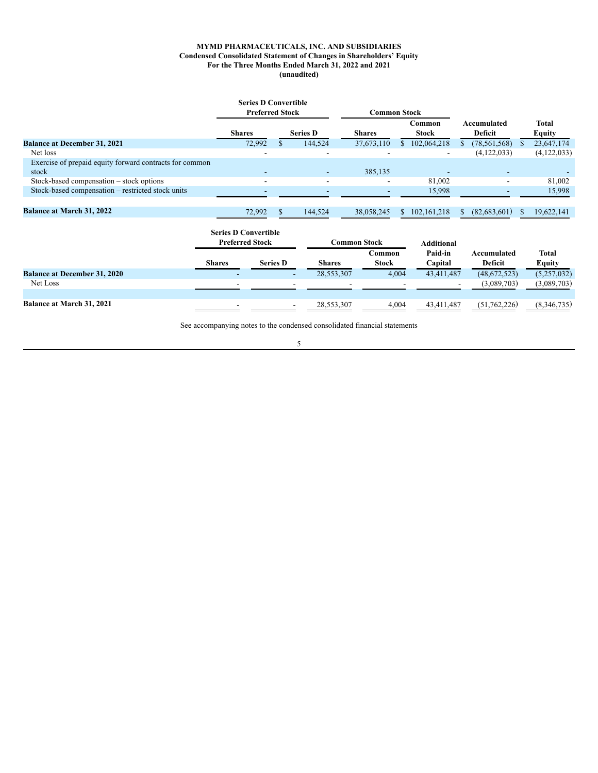## **MYMD PHARMACEUTICALS, INC. AND SUBSIDIARIES Condensed Consolidated Statement of Changes in Shareholders' Equity For the Three Months Ended March 31, 2022 and 2021 (unaudited)**

|                                                                  | <b>Series D Convertible</b><br><b>Preferred Stock</b> |  | <b>Common Stock</b> |                          |  |                          |  |                        |  |                               |  |  |
|------------------------------------------------------------------|-------------------------------------------------------|--|---------------------|--------------------------|--|--------------------------|--|------------------------|--|-------------------------------|--|--|
|                                                                  | <b>Shares</b>                                         |  | <b>Series D</b>     | <b>Shares</b>            |  | Common<br><b>Stock</b>   |  | Accumulated<br>Deficit |  | <b>Total</b><br><b>Equity</b> |  |  |
| <b>Balance at December 31, 2021</b>                              | 72.992                                                |  | 144,524             | 37,673,110               |  | 102,064,218              |  | (78, 561, 568)         |  | 23,647,174                    |  |  |
| Net loss                                                         |                                                       |  |                     | $\overline{\phantom{0}}$ |  | $\overline{\phantom{0}}$ |  | (4,122,033)            |  | (4,122,033)                   |  |  |
| Exercise of prepaid equity forward contracts for common<br>stock |                                                       |  |                     | 385,135                  |  |                          |  |                        |  |                               |  |  |
| Stock-based compensation – stock options                         | $\overline{\phantom{a}}$                              |  |                     | $\overline{\phantom{0}}$ |  | 81,002                   |  |                        |  | 81,002                        |  |  |
| Stock-based compensation – restricted stock units                |                                                       |  |                     |                          |  | 15,998                   |  |                        |  | 15,998                        |  |  |
| <b>Balance at March 31, 2022</b>                                 | 72,992                                                |  | 144,524             | 38,058,245               |  | 102, 161, 218            |  | (82,683,601)           |  | 19,622,141                    |  |  |
|                                                                  | Sorios D Convortible                                  |  |                     |                          |  |                          |  |                        |  |                               |  |  |

|                                     | Series D Convertible<br><b>Preferred Stock</b> |                 | C <b>ommon Stock</b> |                        | <b>Additional</b>  |                               |                        |
|-------------------------------------|------------------------------------------------|-----------------|----------------------|------------------------|--------------------|-------------------------------|------------------------|
|                                     | <b>Shares</b>                                  | <b>Series D</b> | <b>Shares</b>        | Common<br><b>Stock</b> | Paid-in<br>Capital | Accumulated<br><b>Deficit</b> | <b>Total</b><br>Equity |
| <b>Balance at December 31, 2020</b> |                                                | . .             | 28,553,307           | 4,004                  | 43,411,487         | (48,672,523)                  | (5,257,032)            |
| Net Loss                            |                                                |                 | -                    |                        |                    | (3,089,703)                   | (3,089,703)            |
| <b>Balance at March 31, 2021</b>    |                                                |                 | 28.553.307           | 4.004                  | 43.411.487         | (51,762,226)                  | (8,346,735)            |

See accompanying notes to the condensed consolidated financial statements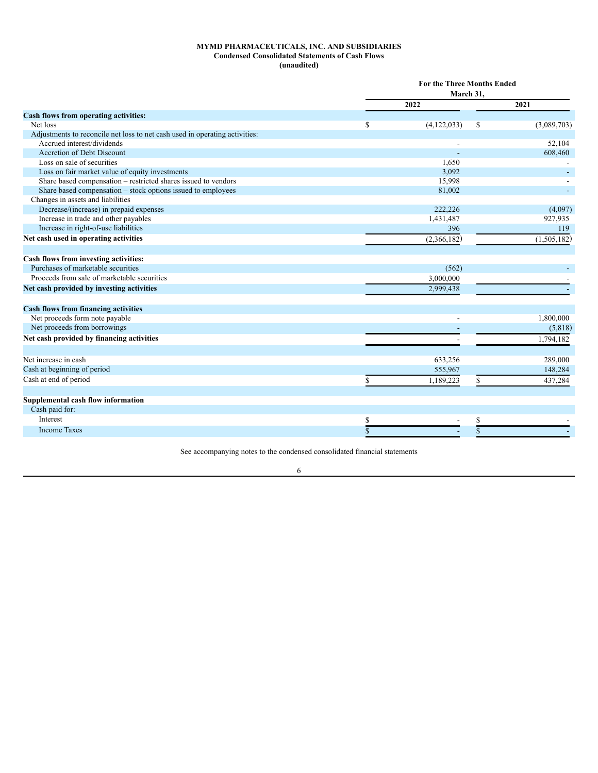## **MYMD PHARMACEUTICALS, INC. AND SUBSIDIARIES Condensed Consolidated Statements of Cash Flows (unaudited)**

|                                                                             | <b>For the Three Months Ended</b><br>March 31, |               |    |             |  |
|-----------------------------------------------------------------------------|------------------------------------------------|---------------|----|-------------|--|
|                                                                             |                                                | 2022          |    | 2021        |  |
| Cash flows from operating activities:                                       |                                                |               |    |             |  |
| Net loss                                                                    | S                                              | (4, 122, 033) | \$ | (3,089,703) |  |
| Adjustments to reconcile net loss to net cash used in operating activities: |                                                |               |    |             |  |
| Accrued interest/dividends                                                  |                                                |               |    | 52,104      |  |
| Accretion of Debt Discount                                                  |                                                |               |    | 608,460     |  |
| Loss on sale of securities                                                  |                                                | 1.650         |    |             |  |
| Loss on fair market value of equity investments                             |                                                | 3,092         |    |             |  |
| Share based compensation – restricted shares issued to vendors              |                                                | 15,998        |    |             |  |
| Share based compensation – stock options issued to employees                |                                                | 81,002        |    |             |  |
| Changes in assets and liabilities                                           |                                                |               |    |             |  |
| Decrease/(increase) in prepaid expenses                                     |                                                | 222,226       |    | (4,097)     |  |
| Increase in trade and other payables                                        |                                                | 1,431,487     |    | 927,935     |  |
| Increase in right-of-use liabilities                                        |                                                | 396           |    | 119         |  |
| Net cash used in operating activities                                       |                                                | (2,366,182)   |    | (1,505,182) |  |
|                                                                             |                                                |               |    |             |  |
| Cash flows from investing activities:                                       |                                                |               |    |             |  |
| Purchases of marketable securities                                          |                                                | (562)         |    |             |  |
| Proceeds from sale of marketable securities                                 |                                                | 3,000,000     |    |             |  |
| Net cash provided by investing activities                                   |                                                | 2,999,438     |    |             |  |
| <b>Cash flows from financing activities</b>                                 |                                                |               |    |             |  |
| Net proceeds form note payable                                              |                                                |               |    | 1,800,000   |  |
| Net proceeds from borrowings                                                |                                                |               |    | (5,818)     |  |
| Net cash provided by financing activities                                   |                                                |               |    | 1,794,182   |  |
|                                                                             |                                                |               |    |             |  |
| Net increase in cash                                                        |                                                | 633,256       |    | 289,000     |  |
| Cash at beginning of period                                                 |                                                | 555,967       |    | 148,284     |  |
| Cash at end of period                                                       |                                                | 1,189,223     | \$ | 437,284     |  |
|                                                                             |                                                |               |    |             |  |
| <b>Supplemental cash flow information</b><br>Cash paid for:                 |                                                |               |    |             |  |
| Interest                                                                    |                                                |               |    |             |  |
|                                                                             | \$                                             |               | \$ |             |  |
| <b>Income Taxes</b>                                                         | $\mathbf S$                                    |               | \$ |             |  |

See accompanying notes to the condensed consolidated financial statements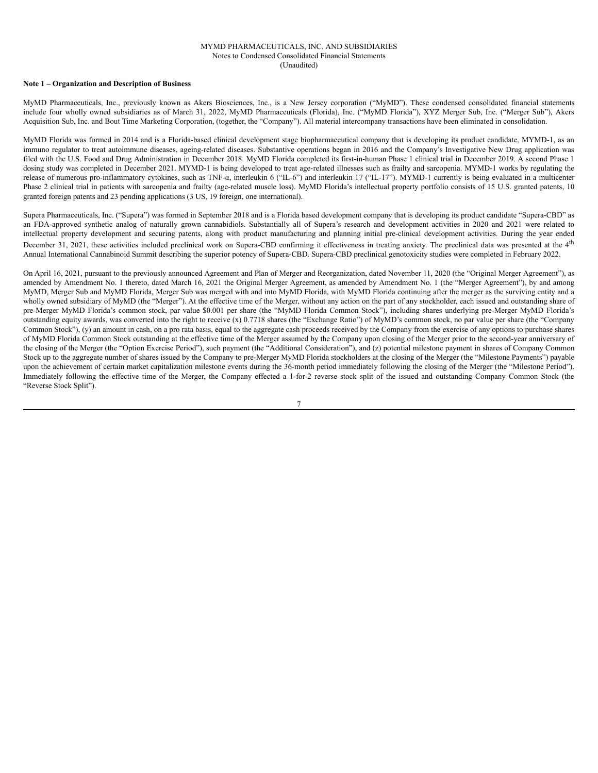### MYMD PHARMACEUTICALS, INC. AND SUBSIDIARIES Notes to Condensed Consolidated Financial Statements (Unaudited)

#### **Note 1 – Organization and Description of Business**

MyMD Pharmaceuticals, Inc., previously known as Akers Biosciences, Inc., is a New Jersey corporation ("MyMD"). These condensed consolidated financial statements include four wholly owned subsidiaries as of March 31, 2022, MyMD Pharmaceuticals (Florida), Inc. ("MyMD Florida"), XYZ Merger Sub, Inc. ("Merger Sub"), Akers Acquisition Sub, Inc. and Bout Time Marketing Corporation, (together, the "Company"). All material intercompany transactions have been eliminated in consolidation.

MyMD Florida was formed in 2014 and is a Florida-based clinical development stage biopharmaceutical company that is developing its product candidate, MYMD-1, as an immuno regulator to treat autoimmune diseases, ageing-related diseases. Substantive operations began in 2016 and the Company's Investigative New Drug application was filed with the U.S. Food and Drug Administration in December 2018. MyMD Florida completed its first-in-human Phase 1 clinical trial in December 2019. A second Phase 1 dosing study was completed in December 2021. MYMD-1 is being developed to treat age-related illnesses such as frailty and sarcopenia. MYMD-1 works by regulating the release of numerous pro-inflammatory cytokines, such as TNF-α, interleukin 6 ("IL-6") and interleukin 17 ("IL-17"). MYMD-1 currently is being evaluated in a multicenter Phase 2 clinical trial in patients with sarcopenia and frailty (age-related muscle loss). MyMD Florida's intellectual property portfolio consists of 15 U.S. granted patents, 10 granted foreign patents and 23 pending applications (3 US, 19 foreign, one international).

Supera Pharmaceuticals, Inc. ("Supera") was formed in September 2018 and is a Florida based development company that is developing its product candidate "Supera-CBD" as an FDA-approved synthetic analog of naturally grown cannabidiols. Substantially all of Supera's research and development activities in 2020 and 2021 were related to intellectual property development and securing patents, along with product manufacturing and planning initial pre-clinical development activities. During the year ended December 31, 2021, these activities included preclinical work on Supera-CBD confirming it effectiveness in treating anxiety. The preclinical data was presented at the 4<sup>th</sup> Annual International Cannabinoid Summit describing the superior potency of Supera-CBD. Supera-CBD preclinical genotoxicity studies were completed in February 2022.

On April 16, 2021, pursuant to the previously announced Agreement and Plan of Merger and Reorganization, dated November 11, 2020 (the "Original Merger Agreement"), as amended by Amendment No. 1 thereto, dated March 16, 2021 the Original Merger Agreement, as amended by Amendment No. 1 (the "Merger Agreement"), by and among MyMD, Merger Sub and MyMD Florida, Merger Sub was merged with and into MyMD Florida, with MyMD Florida continuing after the merger as the surviving entity and a wholly owned subsidiary of MyMD (the "Merger"). At the effective time of the Merger, without any action on the part of any stockholder, each issued and outstanding share of pre-Merger MyMD Florida's common stock, par value \$0.001 per share (the "MyMD Florida Common Stock"), including shares underlying pre-Merger MyMD Florida's outstanding equity awards, was converted into the right to receive (x) 0.7718 shares (the "Exchange Ratio") of MyMD's common stock, no par value per share (the "Company Common Stock"), (y) an amount in cash, on a pro rata basis, equal to the aggregate cash proceeds received by the Company from the exercise of any options to purchase shares of MyMD Florida Common Stock outstanding at the effective time of the Merger assumed by the Company upon closing of the Merger prior to the second-year anniversary of the closing of the Merger (the "Option Exercise Period"), such payment (the "Additional Consideration"), and (z) potential milestone payment in shares of Company Common Stock up to the aggregate number of shares issued by the Company to pre-Merger MyMD Florida stockholders at the closing of the Merger (the "Milestone Payments") payable upon the achievement of certain market capitalization milestone events during the 36-month period immediately following the closing of the Merger (the "Milestone Period"). Immediately following the effective time of the Merger, the Company effected a 1-for-2 reverse stock split of the issued and outstanding Company Common Stock (the "Reverse Stock Split").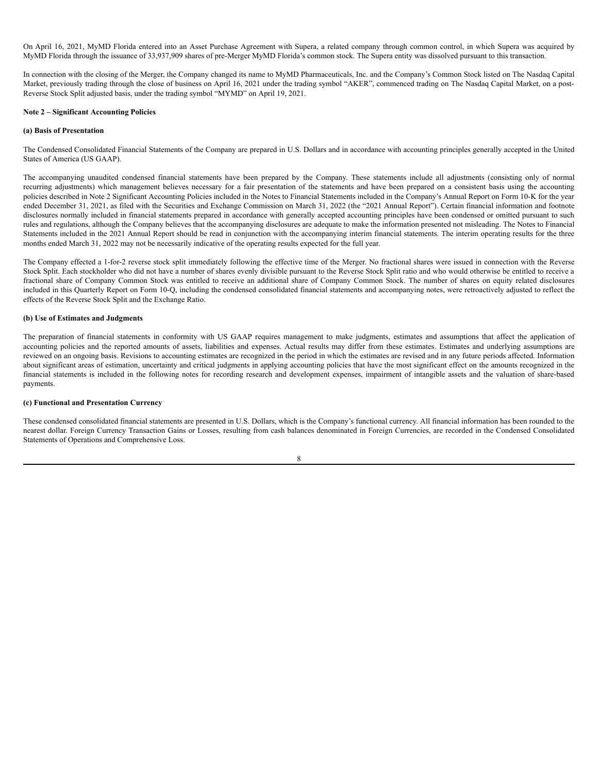On April 16, 2021, MyMD Florida entered into an Asset Purchase Agreement with Supera, a related company through common control, in which Supera was acquired by MyMD Florida through the issuance of 33,937,909 shares of pre-Merger MyMD Florida's common stock. The Supera entity was dissolved pursuant to this transaction.

In connection with the closing of the Merger, the Company changed its name to MyMD Pharmaceuticals, Inc. and the Company's Common Stock listed on The Nasdaq Capital Market, previously trading through the close of business on April 16, 2021 under the trading symbol "AKER", commenced trading on The Nasdaq Capital Market, on a post-Reverse Stock Split adjusted basis, under the trading symbol "MYMD" on April 19, 2021.

#### **Note 2 – Significant Accounting Policies**

#### **(a) Basis of Presentation**

The Condensed Consolidated Financial Statements of the Company are prepared in U.S. Dollars and in accordance with accounting principles generally accepted in the United States of America (US GAAP).

The accompanying unaudited condensed financial statements have been prepared by the Company. These statements include all adjustments (consisting only of normal recurring adjustments) which management believes necessary for a fair presentation of the statements and have been prepared on a consistent basis using the accounting policies described in Note 2 Significant Accounting Policies included in the Notes to Financial Statements included in the Company's Annual Report on Form 10-K for the year ended December 31, 2021, as filed with the Securities and Exchange Commission on March 31, 2022 (the "2021 Annual Report"). Certain financial information and footnote disclosures normally included in financial statements prepared in accordance with generally accepted accounting principles have been condensed or omitted pursuant to such rules and regulations, although the Company believes that the accompanying disclosures are adequate to make the information presented not misleading. The Notes to Financial Statements included in the 2021 Annual Report should be read in conjunction with the accompanying interim financial statements. The interim operating results for the three months ended March 31, 2022 may not be necessarily indicative of the operating results expected for the full year.

The Company effected a 1-for-2 reverse stock split immediately following the effective time of the Merger. No fractional shares were issued in connection with the Reverse Stock Split. Each stockholder who did not have a number of shares evenly divisible pursuant to the Reverse Stock Split ratio and who would otherwise be entitled to receive a fractional share of Company Common Stock was entitled to receive an additional share of Company Common Stock. The number of shares on equity related disclosures included in this Quarterly Report on Form 10-Q, including the condensed consolidated financial statements and accompanying notes, were retroactively adjusted to reflect the effects of the Reverse Stock Split and the Exchange Ratio.

## **(b) Use of Estimates and Judgments**

The preparation of financial statements in conformity with US GAAP requires management to make judgments, estimates and assumptions that affect the application of accounting policies and the reported amounts of assets, liabilities and expenses. Actual results may differ from these estimates. Estimates and underlying assumptions are reviewed on an ongoing basis. Revisions to accounting estimates are recognized in the period in which the estimates are revised and in any future periods affected. Information about significant areas of estimation, uncertainty and critical judgments in applying accounting policies that have the most significant effect on the amounts recognized in the financial statements is included in the following notes for recording research and development expenses, impairment of intangible assets and the valuation of share-based payments.

#### **(c) Functional and Presentation Currency**

These condensed consolidated financial statements are presented in U.S. Dollars, which is the Company's functional currency. All financial information has been rounded to the nearest dollar. Foreign Currency Transaction Gains or Losses, resulting from cash balances denominated in Foreign Currencies, are recorded in the Condensed Consolidated Statements of Operations and Comprehensive Loss.

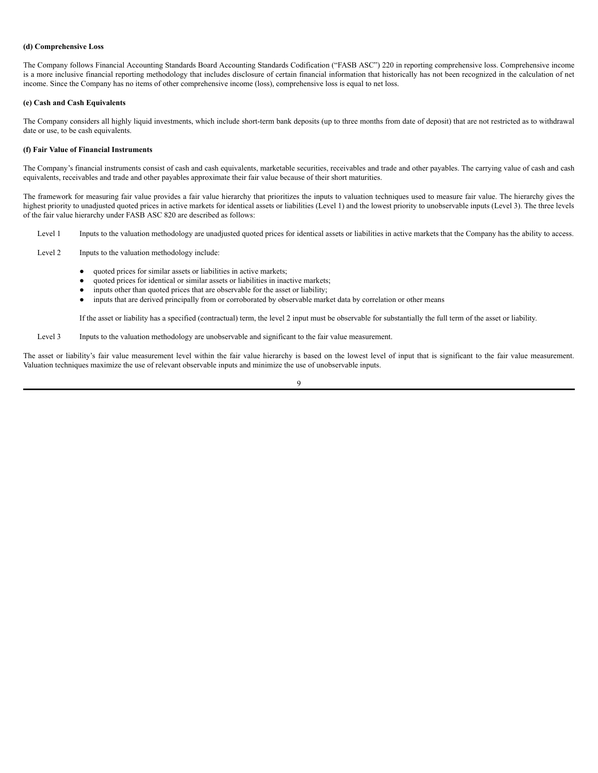## **(d) Comprehensive Loss**

The Company follows Financial Accounting Standards Board Accounting Standards Codification ("FASB ASC") 220 in reporting comprehensive loss. Comprehensive income is a more inclusive financial reporting methodology that includes disclosure of certain financial information that historically has not been recognized in the calculation of net income. Since the Company has no items of other comprehensive income (loss), comprehensive loss is equal to net loss.

#### **(e) Cash and Cash Equivalents**

The Company considers all highly liquid investments, which include short-term bank deposits (up to three months from date of deposit) that are not restricted as to withdrawal date or use, to be cash equivalents.

## **(f) Fair Value of Financial Instruments**

The Company's financial instruments consist of cash and cash equivalents, marketable securities, receivables and trade and other payables. The carrying value of cash and cash equivalents, receivables and trade and other payables approximate their fair value because of their short maturities.

The framework for measuring fair value provides a fair value hierarchy that prioritizes the inputs to valuation techniques used to measure fair value. The hierarchy gives the highest priority to unadjusted quoted prices in active markets for identical assets or liabilities (Level 1) and the lowest priority to unobservable inputs (Level 3). The three levels of the fair value hierarchy under FASB ASC 820 are described as follows:

- Level 1 Inputs to the valuation methodology are unadjusted quoted prices for identical assets or liabilities in active markets that the Company has the ability to access.
- Level 2 Inputs to the valuation methodology include:
	- quoted prices for similar assets or liabilities in active markets;
	- quoted prices for identical or similar assets or liabilities in inactive markets;
	- inputs other than quoted prices that are observable for the asset or liability;
	- inputs that are derived principally from or corroborated by observable market data by correlation or other means

If the asset or liability has a specified (contractual) term, the level 2 input must be observable for substantially the full term of the asset or liability.

Level 3 Inputs to the valuation methodology are unobservable and significant to the fair value measurement.

The asset or liability's fair value measurement level within the fair value hierarchy is based on the lowest level of input that is significant to the fair value measurement. Valuation techniques maximize the use of relevant observable inputs and minimize the use of unobservable inputs.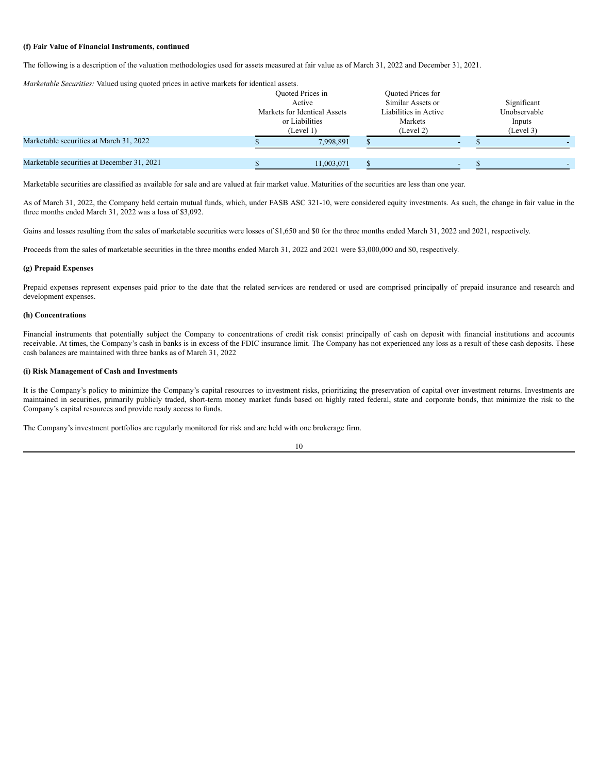## **(f) Fair Value of Financial Instruments, continued**

The following is a description of the valuation methodologies used for assets measured at fair value as of March 31, 2022 and December 31, 2021.

| Marketable Securities: Valued using quoted prices in active markets for identical assets. |           |                                                                              |                                                                            |                                       |
|-------------------------------------------------------------------------------------------|-----------|------------------------------------------------------------------------------|----------------------------------------------------------------------------|---------------------------------------|
|                                                                                           |           | Quoted Prices in<br>Active<br>Markets for Identical Assets<br>or Liabilities | Quoted Prices for<br>Similar Assets or<br>Liabilities in Active<br>Markets | Significant<br>Unobservable<br>Inputs |
|                                                                                           | (Level 1) |                                                                              | (Level 2)                                                                  | (Level 3)                             |
| Marketable securities at March 31, 2022                                                   |           | 7.998.891                                                                    |                                                                            |                                       |
| Marketable securities at December 31, 2021                                                |           | 11,003,071                                                                   | .                                                                          |                                       |

Marketable securities are classified as available for sale and are valued at fair market value. Maturities of the securities are less than one year.

As of March 31, 2022, the Company held certain mutual funds, which, under FASB ASC 321-10, were considered equity investments. As such, the change in fair value in the three months ended March 31, 2022 was a loss of \$3,092.

Gains and losses resulting from the sales of marketable securities were losses of \$1,650 and \$0 for the three months ended March 31, 2022 and 2021, respectively.

Proceeds from the sales of marketable securities in the three months ended March 31, 2022 and 2021 were \$3,000,000 and \$0, respectively.

#### **(g) Prepaid Expenses**

Prepaid expenses represent expenses paid prior to the date that the related services are rendered or used are comprised principally of prepaid insurance and research and development expenses.

## **(h) Concentrations**

Financial instruments that potentially subject the Company to concentrations of credit risk consist principally of cash on deposit with financial institutions and accounts receivable. At times, the Company's cash in banks is in excess of the FDIC insurance limit. The Company has not experienced any loss as a result of these cash deposits. These cash balances are maintained with three banks as of March 31, 2022

## **(i) Risk Management of Cash and Investments**

It is the Company's policy to minimize the Company's capital resources to investment risks, prioritizing the preservation of capital over investment returns. Investments are maintained in securities, primarily publicly traded, short-term money market funds based on highly rated federal, state and corporate bonds, that minimize the risk to the Company's capital resources and provide ready access to funds.

The Company's investment portfolios are regularly monitored for risk and are held with one brokerage firm.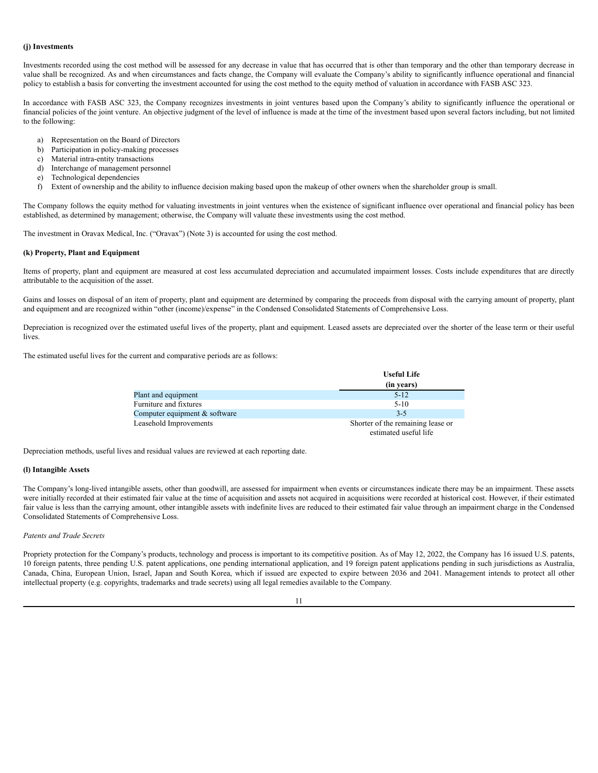## **(j) Investments**

Investments recorded using the cost method will be assessed for any decrease in value that has occurred that is other than temporary and the other than temporary decrease in value shall be recognized. As and when circumstances and facts change, the Company will evaluate the Company's ability to significantly influence operational and financial policy to establish a basis for converting the investment accounted for using the cost method to the equity method of valuation in accordance with FASB ASC 323.

In accordance with FASB ASC 323, the Company recognizes investments in joint ventures based upon the Company's ability to significantly influence the operational or financial policies of the joint venture. An objective judgment of the level of influence is made at the time of the investment based upon several factors including, but not limited to the following:

- a) Representation on the Board of Directors
- b) Participation in policy-making processes
- c) Material intra-entity transactions
- d) Interchange of management personnel
- e) Technological dependencies
- f) Extent of ownership and the ability to influence decision making based upon the makeup of other owners when the shareholder group is small.

The Company follows the equity method for valuating investments in joint ventures when the existence of significant influence over operational and financial policy has been established, as determined by management; otherwise, the Company will valuate these investments using the cost method.

The investment in Oravax Medical, Inc. ("Oravax") (Note 3) is accounted for using the cost method.

### **(k) Property, Plant and Equipment**

Items of property, plant and equipment are measured at cost less accumulated depreciation and accumulated impairment losses. Costs include expenditures that are directly attributable to the acquisition of the asset.

Gains and losses on disposal of an item of property, plant and equipment are determined by comparing the proceeds from disposal with the carrying amount of property, plant and equipment and are recognized within "other (income)/expense" in the Condensed Consolidated Statements of Comprehensive Loss.

Depreciation is recognized over the estimated useful lives of the property, plant and equipment. Leased assets are depreciated over the shorter of the lease term or their useful lives.

The estimated useful lives for the current and comparative periods are as follows:

|                                 | <b>Useful Life</b>                                         |
|---------------------------------|------------------------------------------------------------|
|                                 | (in years)                                                 |
| Plant and equipment             | $5 - 12$                                                   |
| Furniture and fixtures          | $5 - 10$                                                   |
| Computer equipment $&$ software | $3-5$                                                      |
| Leasehold Improvements          | Shorter of the remaining lease or<br>estimated useful life |

Depreciation methods, useful lives and residual values are reviewed at each reporting date.

## **(l) Intangible Assets**

The Company's long-lived intangible assets, other than goodwill, are assessed for impairment when events or circumstances indicate there may be an impairment. These assets were initially recorded at their estimated fair value at the time of acquisition and assets not acquired in acquisitions were recorded at historical cost. However, if their estimated fair value is less than the carrying amount, other intangible assets with indefinite lives are reduced to their estimated fair value through an impairment charge in the Condensed Consolidated Statements of Comprehensive Loss.

## *Patents and Trade Secrets*

Propriety protection for the Company's products, technology and process is important to its competitive position. As of May 12, 2022, the Company has 16 issued U.S. patents, 10 foreign patents, three pending U.S. patent applications, one pending international application, and 19 foreign patent applications pending in such jurisdictions as Australia, Canada, China, European Union, Israel, Japan and South Korea, which if issued are expected to expire between 2036 and 2041. Management intends to protect all other intellectual property (e.g. copyrights, trademarks and trade secrets) using all legal remedies available to the Company.

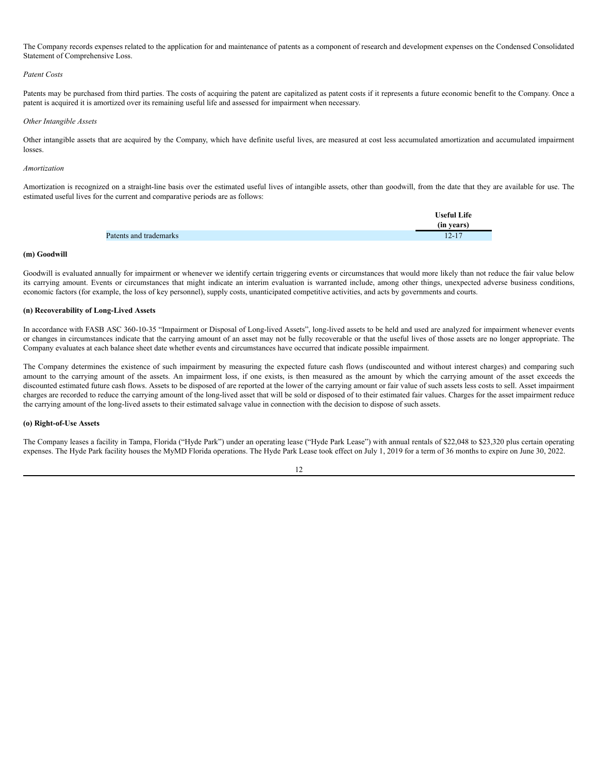The Company records expenses related to the application for and maintenance of patents as a component of research and development expenses on the Condensed Consolidated Statement of Comprehensive Loss.

#### *Patent Costs*

Patents may be purchased from third parties. The costs of acquiring the patent are capitalized as patent costs if it represents a future economic benefit to the Company. Once a patent is acquired it is amortized over its remaining useful life and assessed for impairment when necessary.

#### *Other Intangible Assets*

Other intangible assets that are acquired by the Company, which have definite useful lives, are measured at cost less accumulated amortization and accumulated impairment losses.

#### *Amortization*

Amortization is recognized on a straight-line basis over the estimated useful lives of intangible assets, other than goodwill, from the date that they are available for use. The estimated useful lives for the current and comparative periods are as follows:

|                        | <b>Useful Life</b> |
|------------------------|--------------------|
|                        | (in years)         |
| Patents and trademarks | $12 - 17$          |

#### **(m) Goodwill**

Goodwill is evaluated annually for impairment or whenever we identify certain triggering events or circumstances that would more likely than not reduce the fair value below its carrying amount. Events or circumstances that might indicate an interim evaluation is warranted include, among other things, unexpected adverse business conditions, economic factors (for example, the loss of key personnel), supply costs, unanticipated competitive activities, and acts by governments and courts.

## **(n) Recoverability of Long-Lived Assets**

In accordance with FASB ASC 360-10-35 "Impairment or Disposal of Long-lived Assets", long-lived assets to be held and used are analyzed for impairment whenever events or changes in circumstances indicate that the carrying amount of an asset may not be fully recoverable or that the useful lives of those assets are no longer appropriate. The Company evaluates at each balance sheet date whether events and circumstances have occurred that indicate possible impairment.

The Company determines the existence of such impairment by measuring the expected future cash flows (undiscounted and without interest charges) and comparing such amount to the carrying amount of the assets. An impairment loss, if one exists, is then measured as the amount by which the carrying amount of the asset exceeds the discounted estimated future cash flows. Assets to be disposed of are reported at the lower of the carrying amount or fair value of such assets less costs to sell. Asset impairment charges are recorded to reduce the carrying amount of the long-lived asset that will be sold or disposed of to their estimated fair values. Charges for the asset impairment reduce the carrying amount of the long-lived assets to their estimated salvage value in connection with the decision to dispose of such assets.

## **(o) Right-of-Use Assets**

The Company leases a facility in Tampa, Florida ("Hyde Park") under an operating lease ("Hyde Park Lease") with annual rentals of \$22,048 to \$23,320 plus certain operating expenses. The Hyde Park facility houses the MyMD Florida operations. The Hyde Park Lease took effect on July 1, 2019 for a term of 36 months to expire on June 30, 2022.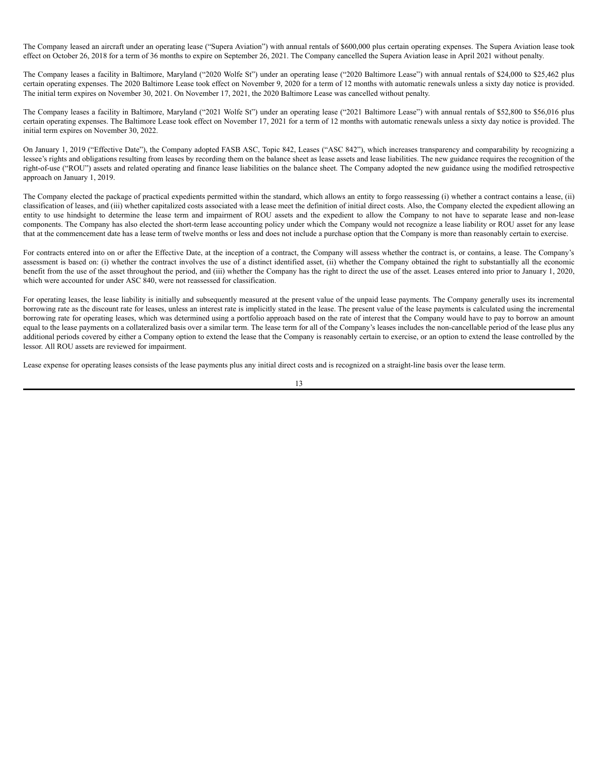The Company leased an aircraft under an operating lease ("Supera Aviation") with annual rentals of \$600,000 plus certain operating expenses. The Supera Aviation lease took effect on October 26, 2018 for a term of 36 months to expire on September 26, 2021. The Company cancelled the Supera Aviation lease in April 2021 without penalty.

The Company leases a facility in Baltimore, Maryland ("2020 Wolfe St") under an operating lease ("2020 Baltimore Lease") with annual rentals of \$24,000 to \$25,462 plus certain operating expenses. The 2020 Baltimore Lease took effect on November 9, 2020 for a term of 12 months with automatic renewals unless a sixty day notice is provided. The initial term expires on November 30, 2021. On November 17, 2021, the 2020 Baltimore Lease was cancelled without penalty.

The Company leases a facility in Baltimore, Maryland ("2021 Wolfe St") under an operating lease ("2021 Baltimore Lease") with annual rentals of \$52,800 to \$56,016 plus certain operating expenses. The Baltimore Lease took effect on November 17, 2021 for a term of 12 months with automatic renewals unless a sixty day notice is provided. The initial term expires on November 30, 2022.

On January 1, 2019 ("Effective Date"), the Company adopted FASB ASC, Topic 842, Leases ("ASC 842"), which increases transparency and comparability by recognizing a lessee's rights and obligations resulting from leases by recording them on the balance sheet as lease assets and lease liabilities. The new guidance requires the recognition of the right-of-use ("ROU") assets and related operating and finance lease liabilities on the balance sheet. The Company adopted the new guidance using the modified retrospective approach on January 1, 2019.

The Company elected the package of practical expedients permitted within the standard, which allows an entity to forgo reassessing (i) whether a contract contains a lease, (ii) classification of leases, and (iii) whether capitalized costs associated with a lease meet the definition of initial direct costs. Also, the Company elected the expedient allowing an entity to use hindsight to determine the lease term and impairment of ROU assets and the expedient to allow the Company to not have to separate lease and non-lease components. The Company has also elected the short-term lease accounting policy under which the Company would not recognize a lease liability or ROU asset for any lease that at the commencement date has a lease term of twelve months or less and does not include a purchase option that the Company is more than reasonably certain to exercise.

For contracts entered into on or after the Effective Date, at the inception of a contract, the Company will assess whether the contract is, or contains, a lease. The Company's assessment is based on: (i) whether the contract involves the use of a distinct identified asset, (ii) whether the Company obtained the right to substantially all the economic benefit from the use of the asset throughout the period, and (iii) whether the Company has the right to direct the use of the asset. Leases entered into prior to January 1, 2020, which were accounted for under ASC 840, were not reassessed for classification.

For operating leases, the lease liability is initially and subsequently measured at the present value of the unpaid lease payments. The Company generally uses its incremental borrowing rate as the discount rate for leases, unless an interest rate is implicitly stated in the lease. The present value of the lease payments is calculated using the incremental borrowing rate for operating leases, which was determined using a portfolio approach based on the rate of interest that the Company would have to pay to borrow an amount equal to the lease payments on a collateralized basis over a similar term. The lease term for all of the Company's leases includes the non-cancellable period of the lease plus any additional periods covered by either a Company option to extend the lease that the Company is reasonably certain to exercise, or an option to extend the lease controlled by the lessor. All ROU assets are reviewed for impairment.

Lease expense for operating leases consists of the lease payments plus any initial direct costs and is recognized on a straight-line basis over the lease term.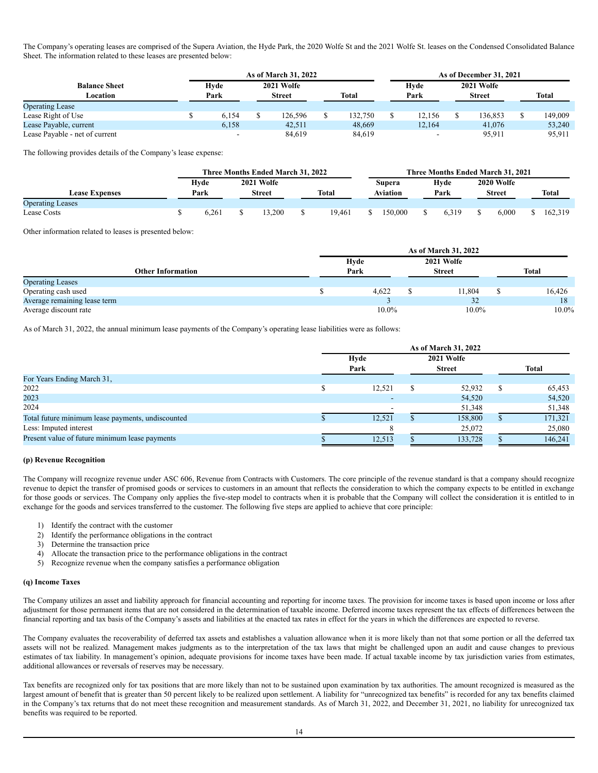The Company's operating leases are comprised of the Supera Aviation, the Hyde Park, the 2020 Wolfe St and the 2021 Wolfe St. leases on the Condensed Consolidated Balance Sheet. The information related to these leases are presented below:

|                                  | <b>As of March 31, 2022</b> |        |  |                             |  | As of December 31, 2021 |  |              |  |                             |  |         |
|----------------------------------|-----------------------------|--------|--|-----------------------------|--|-------------------------|--|--------------|--|-----------------------------|--|---------|
| <b>Balance Sheet</b><br>Location | Hyde<br>Park                |        |  | 2021 Wolfe<br><b>Street</b> |  | Total                   |  | Hyde<br>Park |  | 2021 Wolfe<br><b>Street</b> |  | Total   |
| <b>Operating Lease</b>           |                             |        |  |                             |  |                         |  |              |  |                             |  |         |
| Lease Right of Use               |                             | 6,154  |  | 126.596                     |  | 132.750                 |  | 12,156       |  | 136.853                     |  | 149.009 |
| Lease Payable, current           |                             | 6,158  |  | 42,511                      |  | 48.669                  |  | 12.164       |  | 41,076                      |  | 53,240  |
| Lease Payable - net of current   |                             | $\sim$ |  | 84.619                      |  | 84.619                  |  | $\sim$       |  | 95.911                      |  | 95.911  |

The following provides details of the Company's lease expense:

|                         | Three Months Ended March 31, 2022 |  |                        |  |        |          |         |      | Three Months Ended March 31, 2021 |               |            |       |         |
|-------------------------|-----------------------------------|--|------------------------|--|--------|----------|---------|------|-----------------------------------|---------------|------------|-------|---------|
|                         | Hyde                              |  | 2021 Wolfe             |  |        |          | Supera  |      | Hyde                              |               | 2020 Wolfe |       |         |
| <b>Lease Expenses</b>   | Park                              |  | Total<br><b>Street</b> |  |        | Aviation |         | Park |                                   | <b>Street</b> |            | Total |         |
| <b>Operating Leases</b> |                                   |  |                        |  |        |          |         |      |                                   |               |            |       |         |
| Lease Costs             | 6.261                             |  | 3.200                  |  | 19.461 |          | 150.000 |      | 6.319                             |               | 6.000      |       | 162.319 |

Other information related to leases is presented below:

|                              | As of March 31, 2022 |  |               |  |              |
|------------------------------|----------------------|--|---------------|--|--------------|
|                              | Hyde                 |  | 2021 Wolfe    |  |              |
| <b>Other Information</b>     | Park                 |  | <b>Street</b> |  | <b>Total</b> |
| <b>Operating Leases</b>      |                      |  |               |  |              |
| Operating cash used          | 4.622                |  | 11,804        |  | 16,426       |
| Average remaining lease term |                      |  | 32            |  | 18           |
| Average discount rate        | 10.0%                |  | 10.0%         |  | $10.0\%$     |

As of March 31, 2022, the annual minimum lease payments of the Company's operating lease liabilities were as follows:

|                                                   | As of March 31, 2022 |        |  |               |  |              |
|---------------------------------------------------|----------------------|--------|--|---------------|--|--------------|
|                                                   |                      | Hyde   |  | 2021 Wolfe    |  |              |
|                                                   |                      | Park   |  | <b>Street</b> |  | <b>Total</b> |
| For Years Ending March 31,                        |                      |        |  |               |  |              |
| 2022                                              |                      | 12,521 |  | 52,932        |  | 65,453       |
| 2023                                              |                      |        |  | 54,520        |  | 54,520       |
| 2024                                              |                      |        |  | 51,348        |  | 51,348       |
| Total future minimum lease payments, undiscounted |                      | 12,521 |  | 158,800       |  | 171,321      |
| Less: Imputed interest                            |                      |        |  | 25,072        |  | 25,080       |
| Present value of future minimum lease payments    |                      | 12.513 |  | 133,728       |  | 146,241      |

#### **(p) Revenue Recognition**

The Company will recognize revenue under ASC 606, Revenue from Contracts with Customers. The core principle of the revenue standard is that a company should recognize revenue to depict the transfer of promised goods or services to customers in an amount that reflects the consideration to which the company expects to be entitled in exchange for those goods or services. The Company only applies the five-step model to contracts when it is probable that the Company will collect the consideration it is entitled to in exchange for the goods and services transferred to the customer. The following five steps are applied to achieve that core principle:

- 1) Identify the contract with the customer
- 2) Identify the performance obligations in the contract
- 3) Determine the transaction price
- 4) Allocate the transaction price to the performance obligations in the contract
- 5) Recognize revenue when the company satisfies a performance obligation

#### **(q) Income Taxes**

The Company utilizes an asset and liability approach for financial accounting and reporting for income taxes. The provision for income taxes is based upon income or loss after adjustment for those permanent items that are not considered in the determination of taxable income. Deferred income taxes represent the tax effects of differences between the financial reporting and tax basis of the Company's assets and liabilities at the enacted tax rates in effect for the years in which the differences are expected to reverse.

The Company evaluates the recoverability of deferred tax assets and establishes a valuation allowance when it is more likely than not that some portion or all the deferred tax assets will not be realized. Management makes judgments as to the interpretation of the tax laws that might be challenged upon an audit and cause changes to previous estimates of tax liability. In management's opinion, adequate provisions for income taxes have been made. If actual taxable income by tax jurisdiction varies from estimates, additional allowances or reversals of reserves may be necessary.

Tax benefits are recognized only for tax positions that are more likely than not to be sustained upon examination by tax authorities. The amount recognized is measured as the largest amount of benefit that is greater than 50 percent likely to be realized upon settlement. A liability for "unrecognized tax benefits" is recorded for any tax benefits claimed in the Company's tax returns that do not meet these recognition and measurement standards. As of March 31, 2022, and December 31, 2021, no liability for unrecognized tax benefits was required to be reported.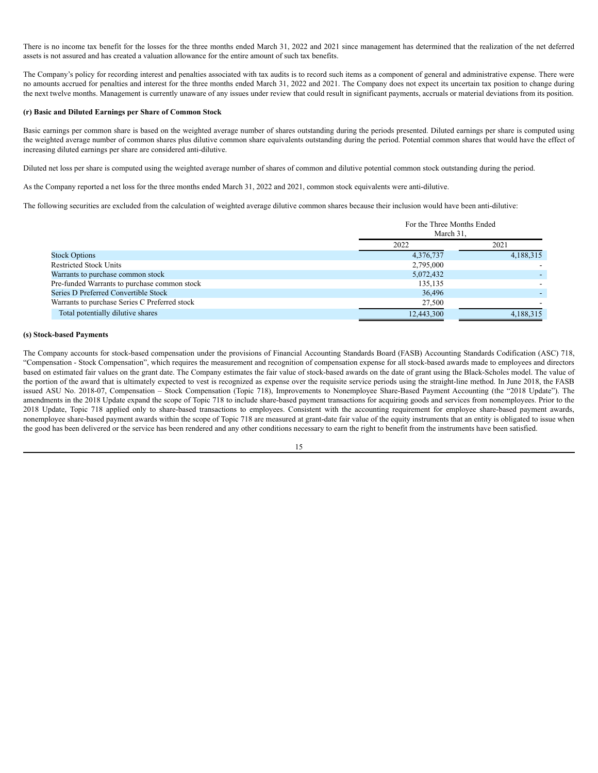There is no income tax benefit for the losses for the three months ended March 31, 2022 and 2021 since management has determined that the realization of the net deferred assets is not assured and has created a valuation allowance for the entire amount of such tax benefits.

The Company's policy for recording interest and penalties associated with tax audits is to record such items as a component of general and administrative expense. There were no amounts accrued for penalties and interest for the three months ended March 31, 2022 and 2021. The Company does not expect its uncertain tax position to change during the next twelve months. Management is currently unaware of any issues under review that could result in significant payments, accruals or material deviations from its position.

#### **(r) Basic and Diluted Earnings per Share of Common Stock**

Basic earnings per common share is based on the weighted average number of shares outstanding during the periods presented. Diluted earnings per share is computed using the weighted average number of common shares plus dilutive common share equivalents outstanding during the period. Potential common shares that would have the effect of increasing diluted earnings per share are considered anti-dilutive.

Diluted net loss per share is computed using the weighted average number of shares of common and dilutive potential common stock outstanding during the period.

As the Company reported a net loss for the three months ended March 31, 2022 and 2021, common stock equivalents were anti-dilutive.

The following securities are excluded from the calculation of weighted average dilutive common shares because their inclusion would have been anti-dilutive:

|                                               |            | For the Three Months Ended<br>March 31. |  |  |  |
|-----------------------------------------------|------------|-----------------------------------------|--|--|--|
|                                               | 2022       | 2021                                    |  |  |  |
| <b>Stock Options</b>                          | 4,376,737  | 4,188,315                               |  |  |  |
| <b>Restricted Stock Units</b>                 | 2,795,000  |                                         |  |  |  |
| Warrants to purchase common stock             | 5,072,432  |                                         |  |  |  |
| Pre-funded Warrants to purchase common stock  | 135,135    |                                         |  |  |  |
| Series D Preferred Convertible Stock          | 36,496     |                                         |  |  |  |
| Warrants to purchase Series C Preferred stock | 27,500     |                                         |  |  |  |
| Total potentially dilutive shares             | 12,443,300 | 4,188,315                               |  |  |  |

#### **(s) Stock-based Payments**

The Company accounts for stock-based compensation under the provisions of Financial Accounting Standards Board (FASB) Accounting Standards Codification (ASC) 718, "Compensation - Stock Compensation", which requires the measurement and recognition of compensation expense for all stock-based awards made to employees and directors based on estimated fair values on the grant date. The Company estimates the fair value of stock-based awards on the date of grant using the Black-Scholes model. The value of the portion of the award that is ultimately expected to vest is recognized as expense over the requisite service periods using the straight-line method. In June 2018, the FASB issued ASU No. 2018-07, Compensation – Stock Compensation (Topic 718), Improvements to Nonemployee Share-Based Payment Accounting (the "2018 Update"). The amendments in the 2018 Update expand the scope of Topic 718 to include share-based payment transactions for acquiring goods and services from nonemployees. Prior to the 2018 Update, Topic 718 applied only to share-based transactions to employees. Consistent with the accounting requirement for employee share-based payment awards, nonemployee share-based payment awards within the scope of Topic 718 are measured at grant-date fair value of the equity instruments that an entity is obligated to issue when the good has been delivered or the service has been rendered and any other conditions necessary to earn the right to benefit from the instruments have been satisfied.

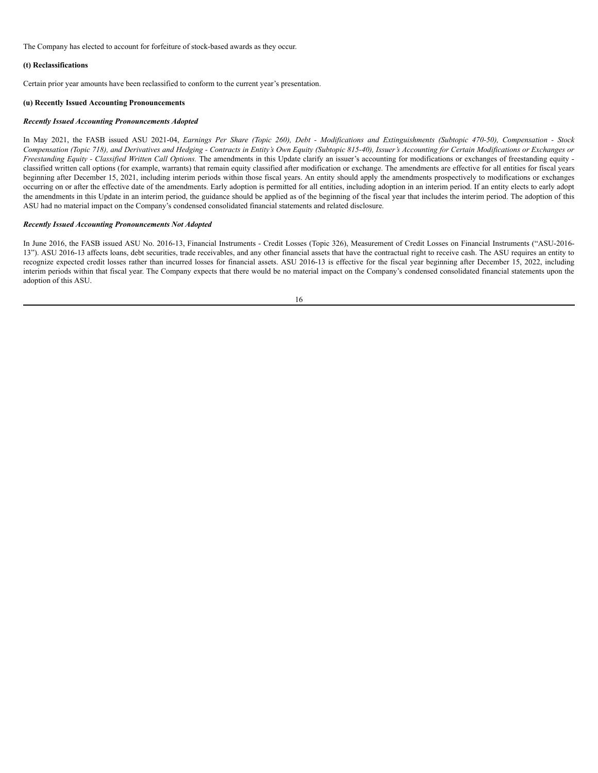The Company has elected to account for forfeiture of stock-based awards as they occur.

#### **(t) Reclassifications**

Certain prior year amounts have been reclassified to conform to the current year's presentation.

#### **(u) Recently Issued Accounting Pronouncements**

#### *Recently Issued Accounting Pronouncements Adopted*

In May 2021, the FASB issued ASU 2021-04, Earnings Per Share (Topic 260), Debt - Modifications and Extinguishments (Subtopic 470-50), Compensation - Stock Compensation (Topic 718), and Derivatives and Hedging - Contracts in Entity's Own Equity (Subtopic 815-40), Issuer's Accounting for Certain Modifications or Exchanges or *Freestanding Equity - Classified Written Call Options.* The amendments in this Update clarify an issuer's accounting for modifications or exchanges of freestanding equity classified written call options (for example, warrants) that remain equity classified after modification or exchange. The amendments are effective for all entities for fiscal years beginning after December 15, 2021, including interim periods within those fiscal years. An entity should apply the amendments prospectively to modifications or exchanges occurring on or after the effective date of the amendments. Early adoption is permitted for all entities, including adoption in an interim period. If an entity elects to early adopt the amendments in this Update in an interim period, the guidance should be applied as of the beginning of the fiscal year that includes the interim period. The adoption of this ASU had no material impact on the Company's condensed consolidated financial statements and related disclosure.

## *Recently Issued Accounting Pronouncements Not Adopted*

In June 2016, the FASB issued ASU No. 2016-13, Financial Instruments - Credit Losses (Topic 326), Measurement of Credit Losses on Financial Instruments ("ASU-2016- 13"). ASU 2016-13 affects loans, debt securities, trade receivables, and any other financial assets that have the contractual right to receive cash. The ASU requires an entity to recognize expected credit losses rather than incurred losses for financial assets. ASU 2016-13 is effective for the fiscal year beginning after December 15, 2022, including interim periods within that fiscal year. The Company expects that there would be no material impact on the Company's condensed consolidated financial statements upon the adoption of this ASU.

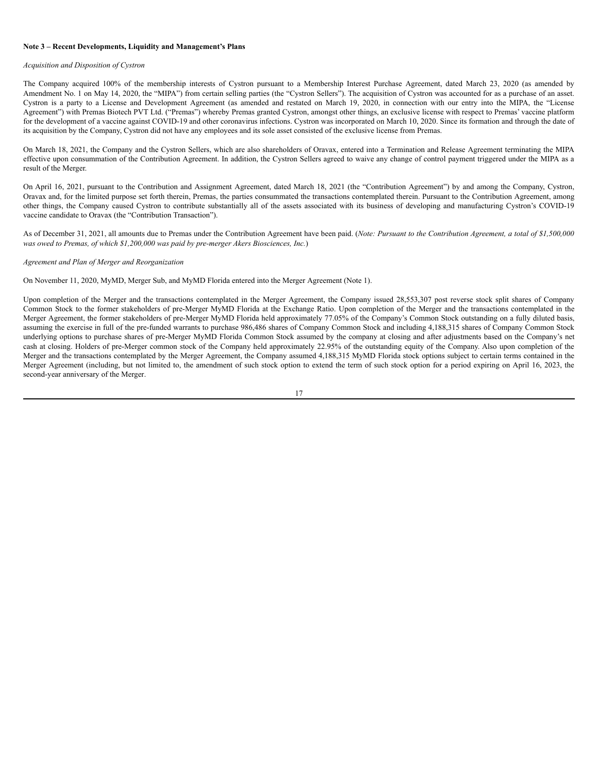### **Note 3 – Recent Developments, Liquidity and Management's Plans**

## *Acquisition and Disposition of Cystron*

The Company acquired 100% of the membership interests of Cystron pursuant to a Membership Interest Purchase Agreement, dated March 23, 2020 (as amended by Amendment No. 1 on May 14, 2020, the "MIPA") from certain selling parties (the "Cystron Sellers"). The acquisition of Cystron was accounted for as a purchase of an asset. Cystron is a party to a License and Development Agreement (as amended and restated on March 19, 2020, in connection with our entry into the MIPA, the "License Agreement") with Premas Biotech PVT Ltd. ("Premas") whereby Premas granted Cystron, amongst other things, an exclusive license with respect to Premas' vaccine platform for the development of a vaccine against COVID-19 and other coronavirus infections. Cystron was incorporated on March 10, 2020. Since its formation and through the date of its acquisition by the Company, Cystron did not have any employees and its sole asset consisted of the exclusive license from Premas.

On March 18, 2021, the Company and the Cystron Sellers, which are also shareholders of Oravax, entered into a Termination and Release Agreement terminating the MIPA effective upon consummation of the Contribution Agreement. In addition, the Cystron Sellers agreed to waive any change of control payment triggered under the MIPA as a result of the Merger.

On April 16, 2021, pursuant to the Contribution and Assignment Agreement, dated March 18, 2021 (the "Contribution Agreement") by and among the Company, Cystron, Oravax and, for the limited purpose set forth therein, Premas, the parties consummated the transactions contemplated therein. Pursuant to the Contribution Agreement, among other things, the Company caused Cystron to contribute substantially all of the assets associated with its business of developing and manufacturing Cystron's COVID-19 vaccine candidate to Oravax (the "Contribution Transaction").

As of December 31, 2021, all amounts due to Premas under the Contribution Agreement have been paid. (Note: Pursuant to the Contribution Agreement, a total of \$1,500,000 *was owed to Premas, of which \$1,200,000 was paid by pre-merger Akers Biosciences, Inc.*)

#### *Agreement and Plan of Merger and Reorganization*

On November 11, 2020, MyMD, Merger Sub, and MyMD Florida entered into the Merger Agreement (Note 1).

Upon completion of the Merger and the transactions contemplated in the Merger Agreement, the Company issued 28,553,307 post reverse stock split shares of Company Common Stock to the former stakeholders of pre-Merger MyMD Florida at the Exchange Ratio. Upon completion of the Merger and the transactions contemplated in the Merger Agreement, the former stakeholders of pre-Merger MyMD Florida held approximately 77.05% of the Company's Common Stock outstanding on a fully diluted basis, assuming the exercise in full of the pre-funded warrants to purchase 986,486 shares of Company Common Stock and including 4,188,315 shares of Company Common Stock underlying options to purchase shares of pre-Merger MyMD Florida Common Stock assumed by the company at closing and after adjustments based on the Company's net cash at closing. Holders of pre-Merger common stock of the Company held approximately 22.95% of the outstanding equity of the Company. Also upon completion of the Merger and the transactions contemplated by the Merger Agreement, the Company assumed 4,188,315 MyMD Florida stock options subject to certain terms contained in the Merger Agreement (including, but not limited to, the amendment of such stock option to extend the term of such stock option for a period expiring on April 16, 2023, the second-year anniversary of the Merger.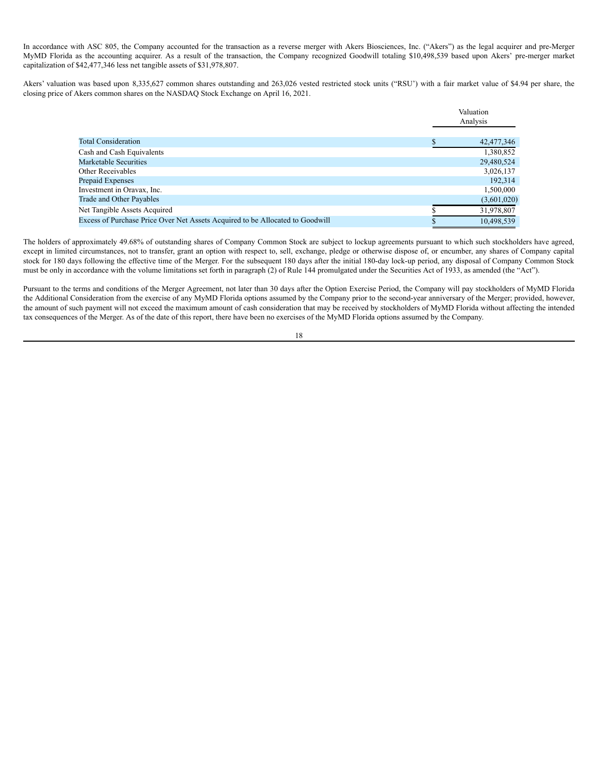In accordance with ASC 805, the Company accounted for the transaction as a reverse merger with Akers Biosciences, Inc. ("Akers") as the legal acquirer and pre-Merger MyMD Florida as the accounting acquirer. As a result of the transaction, the Company recognized Goodwill totaling \$10,498,539 based upon Akers' pre-merger market capitalization of \$42,477,346 less net tangible assets of \$31,978,807.

Akers' valuation was based upon 8,335,627 common shares outstanding and 263,026 vested restricted stock units ("RSU') with a fair market value of \$4.94 per share, the closing price of Akers common shares on the NASDAQ Stock Exchange on April 16, 2021.

| Valuation<br>Analysis |
|-----------------------|
|                       |
| 42,477,346            |
| 1,380,852             |
| 29,480,524            |
| 3,026,137             |
| 192,314               |
| 1,500,000             |
| (3,601,020)           |
| 31,978,807            |
| 10,498,539            |
|                       |

The holders of approximately 49.68% of outstanding shares of Company Common Stock are subject to lockup agreements pursuant to which such stockholders have agreed, except in limited circumstances, not to transfer, grant an option with respect to, sell, exchange, pledge or otherwise dispose of, or encumber, any shares of Company capital stock for 180 days following the effective time of the Merger. For the subsequent 180 days after the initial 180-day lock-up period, any disposal of Company Common Stock must be only in accordance with the volume limitations set forth in paragraph (2) of Rule 144 promulgated under the Securities Act of 1933, as amended (the "Act").

Pursuant to the terms and conditions of the Merger Agreement, not later than 30 days after the Option Exercise Period, the Company will pay stockholders of MyMD Florida the Additional Consideration from the exercise of any MyMD Florida options assumed by the Company prior to the second-year anniversary of the Merger; provided, however, the amount of such payment will not exceed the maximum amount of cash consideration that may be received by stockholders of MyMD Florida without affecting the intended tax consequences of the Merger. As of the date of this report, there have been no exercises of the MyMD Florida options assumed by the Company.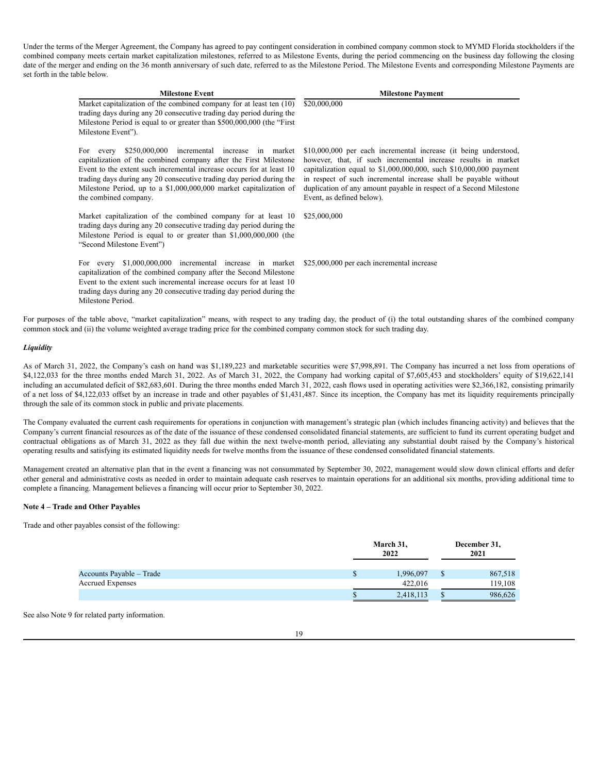Under the terms of the Merger Agreement, the Company has agreed to pay contingent consideration in combined company common stock to MYMD Florida stockholders if the combined company meets certain market capitalization milestones, referred to as Milestone Events, during the period commencing on the business day following the closing date of the merger and ending on the 36 month anniversary of such date, referred to as the Milestone Period. The Milestone Events and corresponding Milestone Payments are set forth in the table below.

| <b>Milestone Event</b>                                                                                                                                                                                                                                                                                                                                                       | <b>Milestone Payment</b>                                                                                                                                                                                                                                                                                                                                                          |
|------------------------------------------------------------------------------------------------------------------------------------------------------------------------------------------------------------------------------------------------------------------------------------------------------------------------------------------------------------------------------|-----------------------------------------------------------------------------------------------------------------------------------------------------------------------------------------------------------------------------------------------------------------------------------------------------------------------------------------------------------------------------------|
| Market capitalization of the combined company for at least ten (10)<br>trading days during any 20 consecutive trading day period during the<br>Milestone Period is equal to or greater than \$500,000,000 (the "First"<br>Milestone Event").                                                                                                                                 | \$20,000,000                                                                                                                                                                                                                                                                                                                                                                      |
| \$250,000,000 incremental increase in market<br>For every<br>capitalization of the combined company after the First Milestone<br>Event to the extent such incremental increase occurs for at least 10<br>trading days during any 20 consecutive trading day period during the<br>Milestone Period, up to a \$1,000,000,000 market capitalization of<br>the combined company. | \$10,000,000 per each incremental increase (it being understood,<br>however, that, if such incremental increase results in market<br>capitalization equal to $$1,000,000,000$ , such $$10,000,000$ payment<br>in respect of such incremental increase shall be payable without<br>duplication of any amount payable in respect of a Second Milestone<br>Event, as defined below). |
| Market capitalization of the combined company for at least 10<br>trading days during any 20 consecutive trading day period during the<br>Milestone Period is equal to or greater than $$1,000,000,000$ (the<br>"Second Milestone Event")                                                                                                                                     | \$25,000,000                                                                                                                                                                                                                                                                                                                                                                      |
| $$1,000,000,000$ incremental increase in market<br>For every<br>capitalization of the combined company after the Second Milestone<br>Event to the extent such incremental increase occurs for at least 10<br>trading days during any 20 consecutive trading day period during the<br>Milestone Period.                                                                       | \$25,000,000 per each incremental increase                                                                                                                                                                                                                                                                                                                                        |

For purposes of the table above, "market capitalization" means, with respect to any trading day, the product of (i) the total outstanding shares of the combined company common stock and (ii) the volume weighted average trading price for the combined company common stock for such trading day.

## *Liquidity*

As of March 31, 2022, the Company's cash on hand was \$1,189,223 and marketable securities were \$7,998,891. The Company has incurred a net loss from operations of \$4,122,033 for the three months ended March 31, 2022. As of March 31, 2022, the Company had working capital of \$7,605,453 and stockholders' equity of \$19,622,141 including an accumulated deficit of \$82,683,601. During the three months ended March 31, 2022, cash flows used in operating activities were \$2,366,182, consisting primarily of a net loss of \$4,122,033 offset by an increase in trade and other payables of \$1,431,487. Since its inception, the Company has met its liquidity requirements principally through the sale of its common stock in public and private placements.

The Company evaluated the current cash requirements for operations in conjunction with management's strategic plan (which includes financing activity) and believes that the Company's current financial resources as of the date of the issuance of these condensed consolidated financial statements, are sufficient to fund its current operating budget and contractual obligations as of March 31, 2022 as they fall due within the next twelve-month period, alleviating any substantial doubt raised by the Company's historical operating results and satisfying its estimated liquidity needs for twelve months from the issuance of these condensed consolidated financial statements.

Management created an alternative plan that in the event a financing was not consummated by September 30, 2022, management would slow down clinical efforts and defer other general and administrative costs as needed in order to maintain adequate cash reserves to maintain operations for an additional six months, providing additional time to complete a financing. Management believes a financing will occur prior to September 30, 2022.

#### **Note 4 – Trade and Other Payables**

Trade and other payables consist of the following:

|                          | March 31,<br>2022 | December 31,<br>2021 |
|--------------------------|-------------------|----------------------|
| Accounts Payable - Trade | 1,996,097         | 867,518              |
| <b>Accrued Expenses</b>  | 422,016           | 119.108              |
|                          | 2,418,113         | 986,626              |

See also Note 9 for related party information.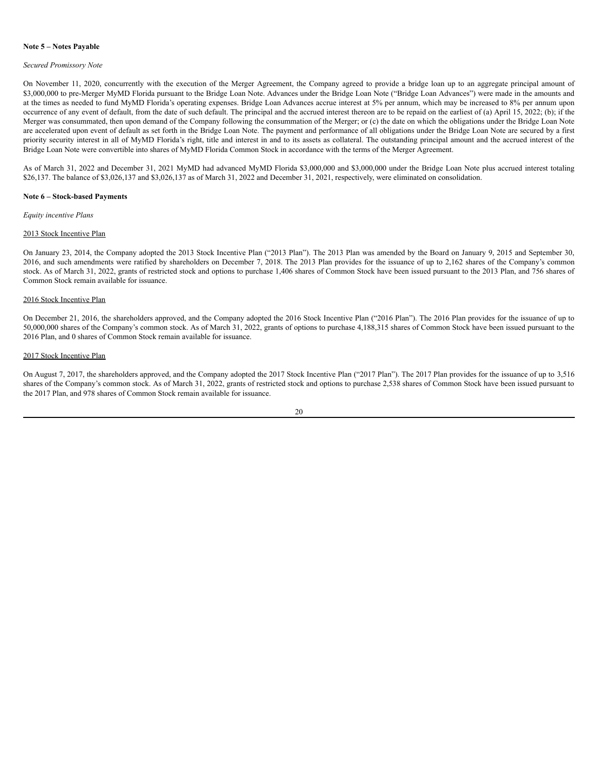#### **Note 5 – Notes Payable**

#### *Secured Promissory Note*

On November 11, 2020, concurrently with the execution of the Merger Agreement, the Company agreed to provide a bridge loan up to an aggregate principal amount of \$3,000,000 to pre-Merger MyMD Florida pursuant to the Bridge Loan Note. Advances under the Bridge Loan Note ("Bridge Loan Advances") were made in the amounts and at the times as needed to fund MyMD Florida's operating expenses. Bridge Loan Advances accrue interest at 5% per annum, which may be increased to 8% per annum upon occurrence of any event of default, from the date of such default. The principal and the accrued interest thereon are to be repaid on the earliest of (a) April 15, 2022; (b); if the Merger was consummated, then upon demand of the Company following the consummation of the Merger; or (c) the date on which the obligations under the Bridge Loan Note are accelerated upon event of default as set forth in the Bridge Loan Note. The payment and performance of all obligations under the Bridge Loan Note are secured by a first priority security interest in all of MyMD Florida's right, title and interest in and to its assets as collateral. The outstanding principal amount and the accrued interest of the Bridge Loan Note were convertible into shares of MyMD Florida Common Stock in accordance with the terms of the Merger Agreement.

As of March 31, 2022 and December 31, 2021 MyMD had advanced MyMD Florida \$3,000,000 and \$3,000,000 under the Bridge Loan Note plus accrued interest totaling \$26,137. The balance of \$3,026,137 and \$3,026,137 as of March 31, 2022 and December 31, 2021, respectively, were eliminated on consolidation.

#### **Note 6 – Stock-based Payments**

#### *Equity incentive Plans*

#### 2013 Stock Incentive Plan

On January 23, 2014, the Company adopted the 2013 Stock Incentive Plan ("2013 Plan"). The 2013 Plan was amended by the Board on January 9, 2015 and September 30, 2016, and such amendments were ratified by shareholders on December 7, 2018. The 2013 Plan provides for the issuance of up to 2,162 shares of the Company's common stock. As of March 31, 2022, grants of restricted stock and options to purchase 1,406 shares of Common Stock have been issued pursuant to the 2013 Plan, and 756 shares of Common Stock remain available for issuance.

## 2016 Stock Incentive Plan

On December 21, 2016, the shareholders approved, and the Company adopted the 2016 Stock Incentive Plan ("2016 Plan"). The 2016 Plan provides for the issuance of up to 50,000,000 shares of the Company's common stock. As of March 31, 2022, grants of options to purchase 4,188,315 shares of Common Stock have been issued pursuant to the 2016 Plan, and 0 shares of Common Stock remain available for issuance.

#### 2017 Stock Incentive Plan

On August 7, 2017, the shareholders approved, and the Company adopted the 2017 Stock Incentive Plan ("2017 Plan"). The 2017 Plan provides for the issuance of up to 3,516 shares of the Company's common stock. As of March 31, 2022, grants of restricted stock and options to purchase 2,538 shares of Common Stock have been issued pursuant to the 2017 Plan, and 978 shares of Common Stock remain available for issuance.

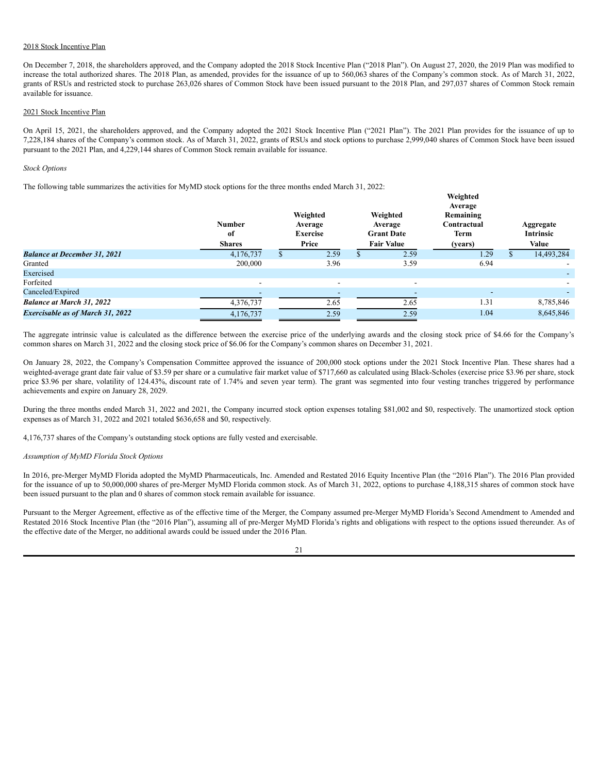## 2018 Stock Incentive Plan

On December 7, 2018, the shareholders approved, and the Company adopted the 2018 Stock Incentive Plan ("2018 Plan"). On August 27, 2020, the 2019 Plan was modified to increase the total authorized shares. The 2018 Plan, as amended, provides for the issuance of up to 560,063 shares of the Company's common stock. As of March 31, 2022, grants of RSUs and restricted stock to purchase 263,026 shares of Common Stock have been issued pursuant to the 2018 Plan, and 297,037 shares of Common Stock remain available for issuance.

#### 2021 Stock Incentive Plan

On April 15, 2021, the shareholders approved, and the Company adopted the 2021 Stock Incentive Plan ("2021 Plan"). The 2021 Plan provides for the issuance of up to 7,228,184 shares of the Company's common stock. As of March 31, 2022, grants of RSUs and stock options to purchase 2,999,040 shares of Common Stock have been issued pursuant to the 2021 Plan, and 4,229,144 shares of Common Stock remain available for issuance.

**Weighted**

#### *Stock Options*

The following table summarizes the activities for MyMD stock options for the three months ended March 31, 2022:

|                                         | <b>Number</b><br>of<br><b>Shares</b> | Weighted<br>Average<br><b>Exercise</b><br>Price | Weighted<br>Average<br><b>Grant Date</b><br><b>Fair Value</b> | weighteu<br>Average<br>Remaining<br>Contractual<br><b>Term</b><br>(years) |    | Aggregate<br><b>Intrinsic</b><br><b>Value</b> |
|-----------------------------------------|--------------------------------------|-------------------------------------------------|---------------------------------------------------------------|---------------------------------------------------------------------------|----|-----------------------------------------------|
| <b>Balance at December 31, 2021</b>     | 4,176,737                            | 2.59                                            | 2.59                                                          | 1.29                                                                      | .D | 14,493,284                                    |
| Granted                                 | 200,000                              | 3.96                                            | 3.59                                                          | 6.94                                                                      |    |                                               |
| Exercised                               |                                      |                                                 |                                                               |                                                                           |    |                                               |
| Forfeited                               | -                                    | $\overline{\phantom{a}}$                        | $\overline{\phantom{a}}$                                      |                                                                           |    |                                               |
| Canceled/Expired                        |                                      |                                                 |                                                               |                                                                           |    |                                               |
| <b>Balance at March 31, 2022</b>        | 4,376,737                            | 2.65                                            | 2.65                                                          | 1.31                                                                      |    | 8,785,846                                     |
| <b>Exercisable as of March 31, 2022</b> | 4,176,737                            | 2.59                                            | 2.59                                                          | 1.04                                                                      |    | 8,645,846                                     |

The aggregate intrinsic value is calculated as the difference between the exercise price of the underlying awards and the closing stock price of \$4.66 for the Company's common shares on March 31, 2022 and the closing stock price of \$6.06 for the Company's common shares on December 31, 2021.

On January 28, 2022, the Company's Compensation Committee approved the issuance of 200,000 stock options under the 2021 Stock Incentive Plan. These shares had a weighted-average grant date fair value of \$3.59 per share or a cumulative fair market value of \$717,660 as calculated using Black-Scholes (exercise price \$3.96 per share, stock price \$3.96 per share, volatility of 124.43%, discount rate of 1.74% and seven year term). The grant was segmented into four vesting tranches triggered by performance achievements and expire on January 28, 2029.

During the three months ended March 31, 2022 and 2021, the Company incurred stock option expenses totaling \$81,002 and \$0, respectively. The unamortized stock option expenses as of March 31, 2022 and 2021 totaled \$636,658 and \$0, respectively.

4,176,737 shares of the Company's outstanding stock options are fully vested and exercisable.

#### *Assumption of MyMD Florida Stock Options*

In 2016, pre-Merger MyMD Florida adopted the MyMD Pharmaceuticals, Inc. Amended and Restated 2016 Equity Incentive Plan (the "2016 Plan"). The 2016 Plan provided for the issuance of up to 50,000,000 shares of pre-Merger MyMD Florida common stock. As of March 31, 2022, options to purchase 4,188,315 shares of common stock have been issued pursuant to the plan and 0 shares of common stock remain available for issuance.

Pursuant to the Merger Agreement, effective as of the effective time of the Merger, the Company assumed pre-Merger MyMD Florida's Second Amendment to Amended and Restated 2016 Stock Incentive Plan (the "2016 Plan"), assuming all of pre-Merger MyMD Florida's rights and obligations with respect to the options issued thereunder. As of the effective date of the Merger, no additional awards could be issued under the 2016 Plan.

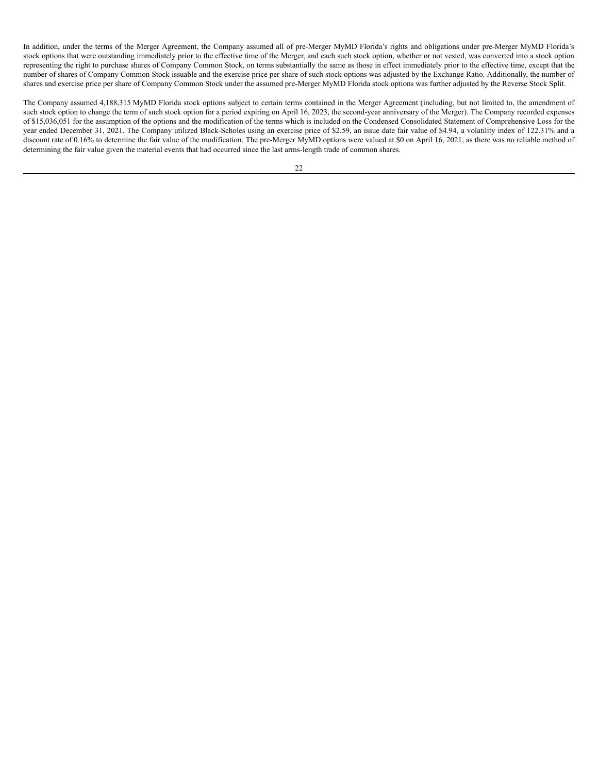In addition, under the terms of the Merger Agreement, the Company assumed all of pre-Merger MyMD Florida's rights and obligations under pre-Merger MyMD Florida's stock options that were outstanding immediately prior to the effective time of the Merger, and each such stock option, whether or not vested, was converted into a stock option representing the right to purchase shares of Company Common Stock, on terms substantially the same as those in effect immediately prior to the effective time, except that the number of shares of Company Common Stock issuable and the exercise price per share of such stock options was adjusted by the Exchange Ratio. Additionally, the number of shares and exercise price per share of Company Common Stock under the assumed pre-Merger MyMD Florida stock options was further adjusted by the Reverse Stock Split.

The Company assumed 4,188,315 MyMD Florida stock options subject to certain terms contained in the Merger Agreement (including, but not limited to, the amendment of such stock option to change the term of such stock option for a period expiring on April 16, 2023, the second-year anniversary of the Merger). The Company recorded expenses of \$15,036,051 for the assumption of the options and the modification of the terms which is included on the Condensed Consolidated Statement of Comprehensive Loss for the year ended December 31, 2021. The Company utilized Black-Scholes using an exercise price of \$2.59, an issue date fair value of \$4.94, a volatility index of 122.31% and a discount rate of 0.16% to determine the fair value of the modification. The pre-Merger MyMD options were valued at \$0 on April 16, 2021, as there was no reliable method of determining the fair value given the material events that had occurred since the last arms-length trade of common shares.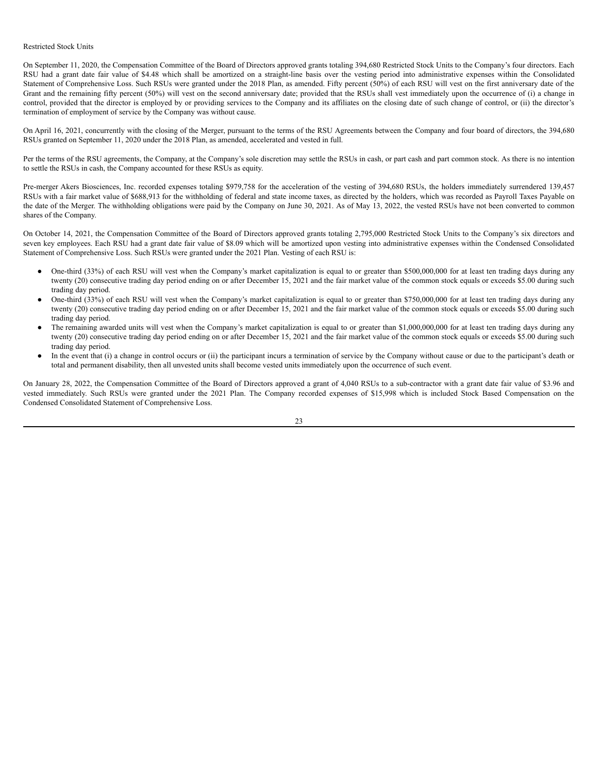#### Restricted Stock Units

On September 11, 2020, the Compensation Committee of the Board of Directors approved grants totaling 394,680 Restricted Stock Units to the Company's four directors. Each RSU had a grant date fair value of \$4.48 which shall be amortized on a straight-line basis over the vesting period into administrative expenses within the Consolidated Statement of Comprehensive Loss. Such RSUs were granted under the 2018 Plan, as amended. Fifty percent (50%) of each RSU will vest on the first anniversary date of the Grant and the remaining fifty percent (50%) will vest on the second anniversary date; provided that the RSUs shall vest immediately upon the occurrence of (i) a change in control, provided that the director is employed by or providing services to the Company and its affiliates on the closing date of such change of control, or (ii) the director's termination of employment of service by the Company was without cause.

On April 16, 2021, concurrently with the closing of the Merger, pursuant to the terms of the RSU Agreements between the Company and four board of directors, the 394,680 RSUs granted on September 11, 2020 under the 2018 Plan, as amended, accelerated and vested in full.

Per the terms of the RSU agreements, the Company, at the Company's sole discretion may settle the RSUs in cash, or part cash and part common stock. As there is no intention to settle the RSUs in cash, the Company accounted for these RSUs as equity.

Pre-merger Akers Biosciences, Inc. recorded expenses totaling \$979,758 for the acceleration of the vesting of 394,680 RSUs, the holders immediately surrendered 139,457 RSUs with a fair market value of \$688,913 for the withholding of federal and state income taxes, as directed by the holders, which was recorded as Payroll Taxes Payable on the date of the Merger. The withholding obligations were paid by the Company on June 30, 2021. As of May 13, 2022, the vested RSUs have not been converted to common shares of the Company.

On October 14, 2021, the Compensation Committee of the Board of Directors approved grants totaling 2,795,000 Restricted Stock Units to the Company's six directors and seven key employees. Each RSU had a grant date fair value of \$8.09 which will be amortized upon vesting into administrative expenses within the Condensed Consolidated Statement of Comprehensive Loss. Such RSUs were granted under the 2021 Plan. Vesting of each RSU is:

- One-third (33%) of each RSU will vest when the Company's market capitalization is equal to or greater than \$500,000,000 for at least ten trading days during any twenty (20) consecutive trading day period ending on or after December 15, 2021 and the fair market value of the common stock equals or exceeds \$5.00 during such trading day period.
- One-third (33%) of each RSU will vest when the Company's market capitalization is equal to or greater than \$750,000,000 for at least ten trading days during any twenty (20) consecutive trading day period ending on or after December 15, 2021 and the fair market value of the common stock equals or exceeds \$5.00 during such trading day period.
- The remaining awarded units will vest when the Company's market capitalization is equal to or greater than \$1,000,000,000 for at least ten trading days during any twenty (20) consecutive trading day period ending on or after December 15, 2021 and the fair market value of the common stock equals or exceeds \$5.00 during such trading day period.
- In the event that (i) a change in control occurs or (ii) the participant incurs a termination of service by the Company without cause or due to the participant's death or total and permanent disability, then all unvested units shall become vested units immediately upon the occurrence of such event.

On January 28, 2022, the Compensation Committee of the Board of Directors approved a grant of 4,040 RSUs to a sub-contractor with a grant date fair value of \$3.96 and vested immediately. Such RSUs were granted under the 2021 Plan. The Company recorded expenses of \$15,998 which is included Stock Based Compensation on the Condensed Consolidated Statement of Comprehensive Loss.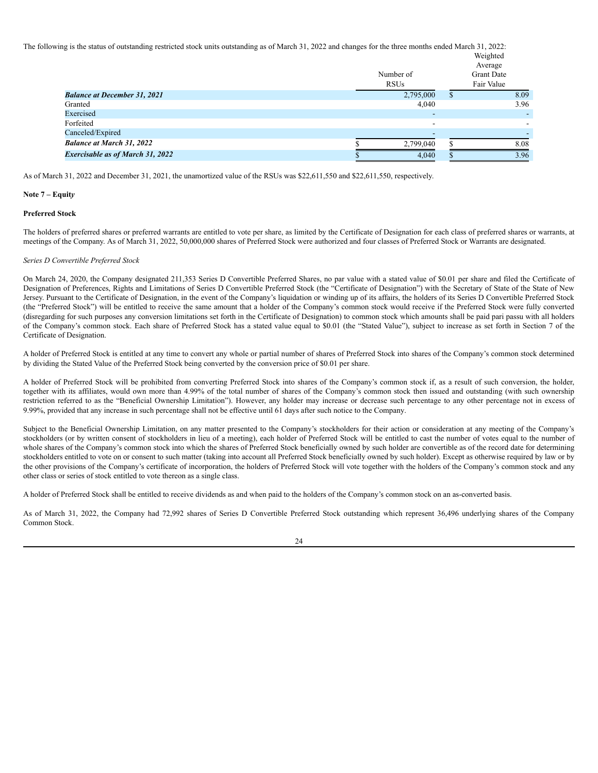The following is the status of outstanding restricted stock units outstanding as of March 31, 2022 and changes for the three months ended March 31, 2022: Weighted Average Number of Grant Date RSUs Fair Value **Balance** at December 31, 2021 2,795,000  $\overline{S}$  8.09 Granted  $\begin{array}{ccc} 3.96 \end{array}$ Exercised - - Forfeited - - Canceled/Expired *Balance at March* 31, 2022 **8.08 8.08 8.08 8.08 8.08 8.08 8.08 8.08 8.08 8.08 8.08 8.08 8.08 8.08 8.08 8.08 8.08 8.08 8.08 8.08 8.08 8.08 8.08 8.08 8.08 8.08 8.08 8.** *Exercisable as of March* 31, 2022  $\frac{1}{8}$   $\frac{4.040}{8}$   $\frac{1}{8}$   $\frac{3.96}{4.040}$ 

As of March 31, 2022 and December 31, 2021, the unamortized value of the RSUs was \$22,611,550 and \$22,611,550, respectively.

## **Note 7 – Equit***y*

## **Preferred Stock**

The holders of preferred shares or preferred warrants are entitled to vote per share, as limited by the Certificate of Designation for each class of preferred shares or warrants, at meetings of the Company. As of March 31, 2022, 50,000,000 shares of Preferred Stock were authorized and four classes of Preferred Stock or Warrants are designated.

#### *Series D Convertible Preferred Stock*

On March 24, 2020, the Company designated 211,353 Series D Convertible Preferred Shares, no par value with a stated value of \$0.01 per share and filed the Certificate of Designation of Preferences, Rights and Limitations of Series D Convertible Preferred Stock (the "Certificate of Designation") with the Secretary of State of the State of New Jersey. Pursuant to the Certificate of Designation, in the event of the Company's liquidation or winding up of its affairs, the holders of its Series D Convertible Preferred Stock (the "Preferred Stock") will be entitled to receive the same amount that a holder of the Company's common stock would receive if the Preferred Stock were fully converted (disregarding for such purposes any conversion limitations set forth in the Certificate of Designation) to common stock which amounts shall be paid pari passu with all holders of the Company's common stock. Each share of Preferred Stock has a stated value equal to \$0.01 (the "Stated Value"), subject to increase as set forth in Section 7 of the Certificate of Designation.

A holder of Preferred Stock is entitled at any time to convert any whole or partial number of shares of Preferred Stock into shares of the Company's common stock determined by dividing the Stated Value of the Preferred Stock being converted by the conversion price of \$0.01 per share.

A holder of Preferred Stock will be prohibited from converting Preferred Stock into shares of the Company's common stock if, as a result of such conversion, the holder, together with its affiliates, would own more than 4.99% of the total number of shares of the Company's common stock then issued and outstanding (with such ownership restriction referred to as the "Beneficial Ownership Limitation"). However, any holder may increase or decrease such percentage to any other percentage not in excess of 9.99%, provided that any increase in such percentage shall not be effective until 61 days after such notice to the Company.

Subject to the Beneficial Ownership Limitation, on any matter presented to the Company's stockholders for their action or consideration at any meeting of the Company's stockholders (or by written consent of stockholders in lieu of a meeting), each holder of Preferred Stock will be entitled to cast the number of votes equal to the number of whole shares of the Company's common stock into which the shares of Preferred Stock beneficially owned by such holder are convertible as of the record date for determining stockholders entitled to vote on or consent to such matter (taking into account all Preferred Stock beneficially owned by such holder). Except as otherwise required by law or by the other provisions of the Company's certificate of incorporation, the holders of Preferred Stock will vote together with the holders of the Company's common stock and any other class or series of stock entitled to vote thereon as a single class.

A holder of Preferred Stock shall be entitled to receive dividends as and when paid to the holders of the Company's common stock on an as-converted basis.

As of March 31, 2022, the Company had 72,992 shares of Series D Convertible Preferred Stock outstanding which represent 36,496 underlying shares of the Company Common Stock.

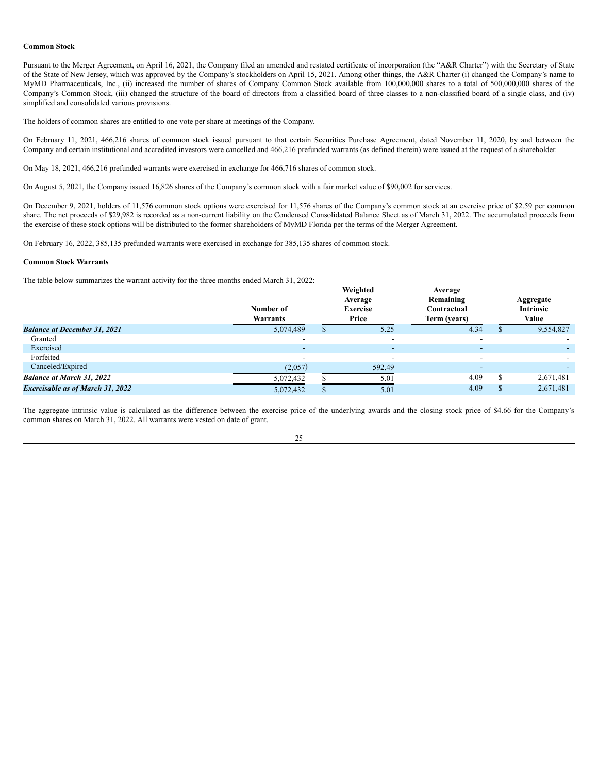### **Common Stock**

Pursuant to the Merger Agreement, on April 16, 2021, the Company filed an amended and restated certificate of incorporation (the "A&R Charter") with the Secretary of State of the State of New Jersey, which was approved by the Company's stockholders on April 15, 2021. Among other things, the A&R Charter (i) changed the Company's name to MyMD Pharmaceuticals, Inc., (ii) increased the number of shares of Company Common Stock available from 100,000,000 shares to a total of 500,000,000 shares of the Company's Common Stock, (iii) changed the structure of the board of directors from a classified board of three classes to a non-classified board of a single class, and (iv) simplified and consolidated various provisions.

The holders of common shares are entitled to one vote per share at meetings of the Company.

On February 11, 2021, 466,216 shares of common stock issued pursuant to that certain Securities Purchase Agreement, dated November 11, 2020, by and between the Company and certain institutional and accredited investors were cancelled and 466,216 prefunded warrants (as defined therein) were issued at the request of a shareholder.

On May 18, 2021, 466,216 prefunded warrants were exercised in exchange for 466,716 shares of common stock.

On August 5, 2021, the Company issued 16,826 shares of the Company's common stock with a fair market value of \$90,002 for services.

On December 9, 2021, holders of 11,576 common stock options were exercised for 11,576 shares of the Company's common stock at an exercise price of \$2.59 per common share. The net proceeds of \$29,982 is recorded as a non-current liability on the Condensed Consolidated Balance Sheet as of March 31, 2022. The accumulated proceeds from the exercise of these stock options will be distributed to the former shareholders of MyMD Florida per the terms of the Merger Agreement.

On February 16, 2022, 385,135 prefunded warrants were exercised in exchange for 385,135 shares of common stock.

#### **Common Stock Warrants**

The table below summarizes the warrant activity for the three months ended March 31, 2022:

|                                         | Number of<br><b>Warrants</b> | Weighted<br>Average<br><b>Exercise</b><br>Price | Average<br>Remaining<br>Contractual<br>Term (years) |   | Aggregate<br><b>Intrinsic</b><br>Value |
|-----------------------------------------|------------------------------|-------------------------------------------------|-----------------------------------------------------|---|----------------------------------------|
| <b>Balance at December 31, 2021</b>     | 5,074,489                    | 5.25                                            | 4.34                                                |   | 9,554,827                              |
| Granted                                 |                              | -                                               |                                                     |   |                                        |
| Exercised                               |                              |                                                 |                                                     |   |                                        |
| Forfeited                               |                              |                                                 |                                                     |   |                                        |
| Canceled/Expired                        | (2,057)                      | 592.49                                          |                                                     |   |                                        |
| <b>Balance at March 31, 2022</b>        | 5,072,432                    | 5.01                                            | 4.09                                                | S | 2,671,481                              |
| <b>Exercisable as of March 31, 2022</b> | 5.072.432                    | 5.01                                            | 4.09                                                | S | 2,671,481                              |
|                                         |                              |                                                 |                                                     |   |                                        |

The aggregate intrinsic value is calculated as the difference between the exercise price of the underlying awards and the closing stock price of \$4.66 for the Company's common shares on March 31, 2022. All warrants were vested on date of grant.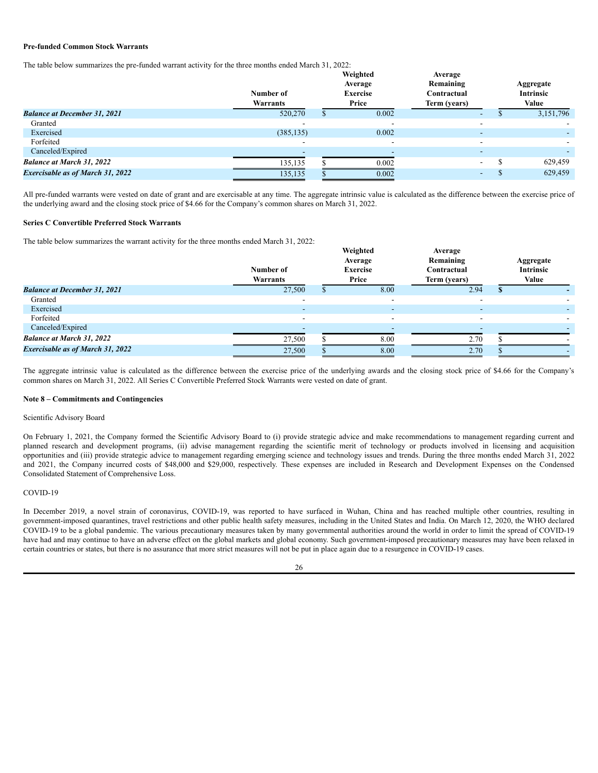## **Pre-funded Common Stock Warrants**

The table below summarizes the pre-funded warrant activity for the three months ended March 31, 2022:

|                                         | Number of<br>Warrants | Weighted<br>Average<br><b>Exercise</b><br>Price | Average<br>Remaining<br>Contractual<br>Term (years) | Aggregate<br><b>Intrinsic</b><br>Value |
|-----------------------------------------|-----------------------|-------------------------------------------------|-----------------------------------------------------|----------------------------------------|
| <b>Balance at December 31, 2021</b>     | 520,270               | 0.002                                           |                                                     | 3,151,796                              |
| Granted                                 |                       | -                                               | $\overline{\phantom{a}}$                            |                                        |
| Exercised                               | (385, 135)            | 0.002                                           | $\overline{\phantom{a}}$                            |                                        |
| Forfeited                               |                       | ۰                                               | $\overline{\phantom{a}}$                            |                                        |
| Canceled/Expired                        |                       |                                                 | -                                                   |                                        |
| <b>Balance at March 31, 2022</b>        | 135,135               | 0.002                                           | $\overline{\phantom{a}}$                            | 629,459                                |
| <b>Exercisable as of March 31, 2022</b> | 135,135               | 0.002                                           | $\sim$                                              | 629,459                                |

All pre-funded warrants were vested on date of grant and are exercisable at any time. The aggregate intrinsic value is calculated as the difference between the exercise price of the underlying award and the closing stock price of \$4.66 for the Company's common shares on March 31, 2022.

### **Series C Convertible Preferred Stock Warrants**

The table below summarizes the warrant activity for the three months ended March 31, 2022:

|                                         | Number of<br>Warrants | Weighted<br>Average<br>Exercise<br>Price |      | Average<br>Remaining<br>Contractual<br>Term (years) | Aggregate<br><b>Intrinsic</b><br>Value |
|-----------------------------------------|-----------------------|------------------------------------------|------|-----------------------------------------------------|----------------------------------------|
| <b>Balance at December 31, 2021</b>     | 27,500                |                                          | 8.00 | 2.94                                                |                                        |
| Granted                                 |                       |                                          |      |                                                     |                                        |
| Exercised                               |                       |                                          |      |                                                     |                                        |
| Forfeited                               |                       |                                          |      |                                                     |                                        |
| Canceled/Expired                        |                       |                                          |      |                                                     |                                        |
| <b>Balance at March 31, 2022</b>        | 27,500                |                                          | 8.00 | 2.70                                                |                                        |
| <b>Exercisable as of March 31, 2022</b> | 27,500                |                                          | 8.00 | 2.70                                                |                                        |
|                                         |                       |                                          |      |                                                     |                                        |

The aggregate intrinsic value is calculated as the difference between the exercise price of the underlying awards and the closing stock price of \$4.66 for the Company's common shares on March 31, 2022. All Series C Convertible Preferred Stock Warrants were vested on date of grant.

#### **Note 8 – Commitments and Contingencies**

## Scientific Advisory Board

On February 1, 2021, the Company formed the Scientific Advisory Board to (i) provide strategic advice and make recommendations to management regarding current and planned research and development programs, (ii) advise management regarding the scientific merit of technology or products involved in licensing and acquisition opportunities and (iii) provide strategic advice to management regarding emerging science and technology issues and trends. During the three months ended March 31, 2022 and 2021, the Company incurred costs of \$48,000 and \$29,000, respectively. These expenses are included in Research and Development Expenses on the Condensed Consolidated Statement of Comprehensive Loss.

## COVID-19

In December 2019, a novel strain of coronavirus, COVID-19, was reported to have surfaced in Wuhan, China and has reached multiple other countries, resulting in government-imposed quarantines, travel restrictions and other public health safety measures, including in the United States and India. On March 12, 2020, the WHO declared COVID-19 to be a global pandemic. The various precautionary measures taken by many governmental authorities around the world in order to limit the spread of COVID-19 have had and may continue to have an adverse effect on the global markets and global economy. Such government-imposed precautionary measures may have been relaxed in certain countries or states, but there is no assurance that more strict measures will not be put in place again due to a resurgence in COVID-19 cases.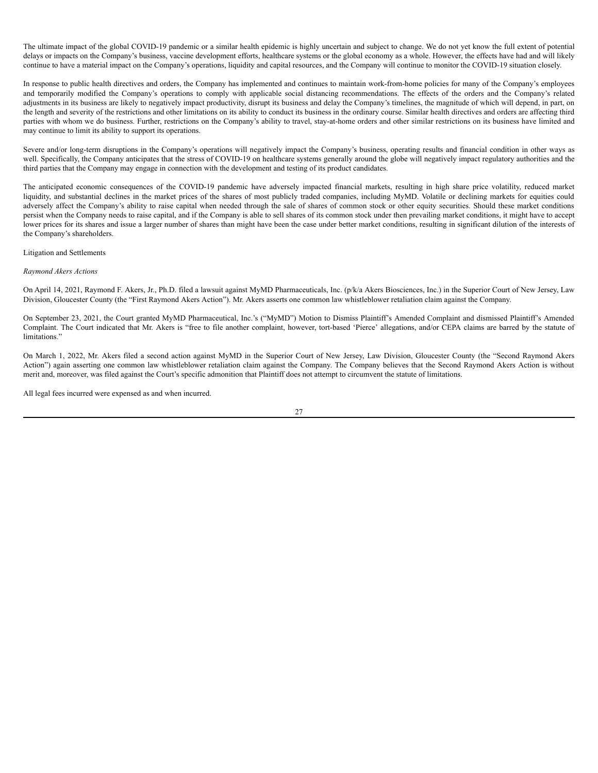The ultimate impact of the global COVID-19 pandemic or a similar health epidemic is highly uncertain and subject to change. We do not yet know the full extent of potential delays or impacts on the Company's business, vaccine development efforts, healthcare systems or the global economy as a whole. However, the effects have had and will likely continue to have a material impact on the Company's operations, liquidity and capital resources, and the Company will continue to monitor the COVID-19 situation closely.

In response to public health directives and orders, the Company has implemented and continues to maintain work-from-home policies for many of the Company's employees and temporarily modified the Company's operations to comply with applicable social distancing recommendations. The effects of the orders and the Company's related adjustments in its business are likely to negatively impact productivity, disrupt its business and delay the Company's timelines, the magnitude of which will depend, in part, on the length and severity of the restrictions and other limitations on its ability to conduct its business in the ordinary course. Similar health directives and orders are affecting third parties with whom we do business. Further, restrictions on the Company's ability to travel, stay-at-home orders and other similar restrictions on its business have limited and may continue to limit its ability to support its operations.

Severe and/or long-term disruptions in the Company's operations will negatively impact the Company's business, operating results and financial condition in other ways as well. Specifically, the Company anticipates that the stress of COVID-19 on healthcare systems generally around the globe will negatively impact regulatory authorities and the third parties that the Company may engage in connection with the development and testing of its product candidates.

The anticipated economic consequences of the COVID-19 pandemic have adversely impacted financial markets, resulting in high share price volatility, reduced market liquidity, and substantial declines in the market prices of the shares of most publicly traded companies, including MyMD. Volatile or declining markets for equities could adversely affect the Company's ability to raise capital when needed through the sale of shares of common stock or other equity securities. Should these market conditions persist when the Company needs to raise capital, and if the Company is able to sell shares of its common stock under then prevailing market conditions, it might have to accept lower prices for its shares and issue a larger number of shares than might have been the case under better market conditions, resulting in significant dilution of the interests of the Company's shareholders.

#### Litigation and Settlements

#### *Raymond Akers Actions*

On April 14, 2021, Raymond F. Akers, Jr., Ph.D. filed a lawsuit against MyMD Pharmaceuticals, Inc. (p/k/a Akers Biosciences, Inc.) in the Superior Court of New Jersey, Law Division, Gloucester County (the "First Raymond Akers Action"). Mr. Akers asserts one common law whistleblower retaliation claim against the Company.

On September 23, 2021, the Court granted MyMD Pharmaceutical, Inc.'s ("MyMD") Motion to Dismiss Plaintiff's Amended Complaint and dismissed Plaintiff's Amended Complaint. The Court indicated that Mr. Akers is "free to file another complaint, however, tort-based 'Pierce' allegations, and/or CEPA claims are barred by the statute of limitations."

On March 1, 2022, Mr. Akers filed a second action against MyMD in the Superior Court of New Jersey, Law Division, Gloucester County (the "Second Raymond Akers Action") again asserting one common law whistleblower retaliation claim against the Company. The Company believes that the Second Raymond Akers Action is without merit and, moreover, was filed against the Court's specific admonition that Plaintiff does not attempt to circumvent the statute of limitations.

All legal fees incurred were expensed as and when incurred.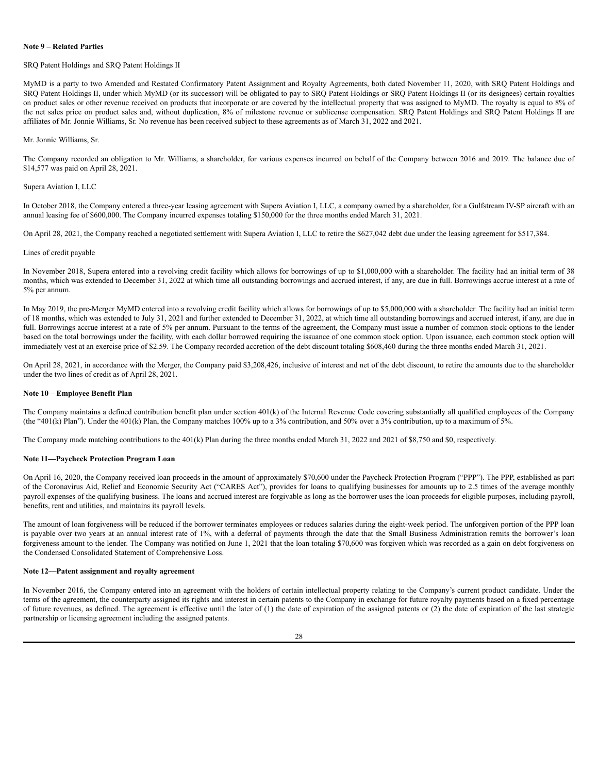#### **Note 9 – Related Parties**

#### SRQ Patent Holdings and SRQ Patent Holdings II

MyMD is a party to two Amended and Restated Confirmatory Patent Assignment and Royalty Agreements, both dated November 11, 2020, with SRQ Patent Holdings and SRQ Patent Holdings II, under which MyMD (or its successor) will be obligated to pay to SRQ Patent Holdings or SRQ Patent Holdings II (or its designees) certain royalties on product sales or other revenue received on products that incorporate or are covered by the intellectual property that was assigned to MyMD. The royalty is equal to 8% of the net sales price on product sales and, without duplication, 8% of milestone revenue or sublicense compensation. SRQ Patent Holdings and SRQ Patent Holdings II are affiliates of Mr. Jonnie Williams, Sr. No revenue has been received subject to these agreements as of March 31, 2022 and 2021.

#### Mr. Jonnie Williams, Sr.

The Company recorded an obligation to Mr. Williams, a shareholder, for various expenses incurred on behalf of the Company between 2016 and 2019. The balance due of \$14,577 was paid on April 28, 2021.

#### Supera Aviation I, LLC

In October 2018, the Company entered a three-year leasing agreement with Supera Aviation I, LLC, a company owned by a shareholder, for a Gulfstream IV-SP aircraft with an annual leasing fee of \$600,000. The Company incurred expenses totaling \$150,000 for the three months ended March 31, 2021.

On April 28, 2021, the Company reached a negotiated settlement with Supera Aviation I, LLC to retire the \$627,042 debt due under the leasing agreement for \$517,384.

#### Lines of credit payable

In November 2018, Supera entered into a revolving credit facility which allows for borrowings of up to \$1,000,000 with a shareholder. The facility had an initial term of 38 months, which was extended to December 31, 2022 at which time all outstanding borrowings and accrued interest, if any, are due in full. Borrowings accrue interest at a rate of 5% per annum.

In May 2019, the pre-Merger MyMD entered into a revolving credit facility which allows for borrowings of up to \$5,000,000 with a shareholder. The facility had an initial term of 18 months, which was extended to July 31, 2021 and further extended to December 31, 2022, at which time all outstanding borrowings and accrued interest, if any, are due in full. Borrowings accrue interest at a rate of 5% per annum. Pursuant to the terms of the agreement, the Company must issue a number of common stock options to the lender based on the total borrowings under the facility, with each dollar borrowed requiring the issuance of one common stock option. Upon issuance, each common stock option will immediately vest at an exercise price of \$2.59. The Company recorded accretion of the debt discount totaling \$608,460 during the three months ended March 31, 2021.

On April 28, 2021, in accordance with the Merger, the Company paid \$3,208,426, inclusive of interest and net of the debt discount, to retire the amounts due to the shareholder under the two lines of credit as of April 28, 2021.

#### **Note 10 – Employee Benefit Plan**

The Company maintains a defined contribution benefit plan under section 401(k) of the Internal Revenue Code covering substantially all qualified employees of the Company (the "401(k) Plan"). Under the 401(k) Plan, the Company matches 100% up to a 3% contribution, and 50% over a 3% contribution, up to a maximum of 5%.

The Company made matching contributions to the 401(k) Plan during the three months ended March 31, 2022 and 2021 of \$8,750 and \$0, respectively.

#### **Note 11—Paycheck Protection Program Loan**

On April 16, 2020, the Company received loan proceeds in the amount of approximately \$70,600 under the Paycheck Protection Program ("PPP"). The PPP, established as part of the Coronavirus Aid, Relief and Economic Security Act ("CARES Act"), provides for loans to qualifying businesses for amounts up to 2.5 times of the average monthly payroll expenses of the qualifying business. The loans and accrued interest are forgivable as long as the borrower uses the loan proceeds for eligible purposes, including payroll, benefits, rent and utilities, and maintains its payroll levels.

The amount of loan forgiveness will be reduced if the borrower terminates employees or reduces salaries during the eight-week period. The unforgiven portion of the PPP loan is payable over two years at an annual interest rate of 1%, with a deferral of payments through the date that the Small Business Administration remits the borrower's loan forgiveness amount to the lender. The Company was notified on June 1, 2021 that the loan totaling \$70,600 was forgiven which was recorded as a gain on debt forgiveness on the Condensed Consolidated Statement of Comprehensive Loss.

#### **Note 12—Patent assignment and royalty agreement**

In November 2016, the Company entered into an agreement with the holders of certain intellectual property relating to the Company's current product candidate. Under the terms of the agreement, the counterparty assigned its rights and interest in certain patents to the Company in exchange for future royalty payments based on a fixed percentage of future revenues, as defined. The agreement is effective until the later of (1) the date of expiration of the assigned patents or (2) the date of expiration of the last strategic partnership or licensing agreement including the assigned patents.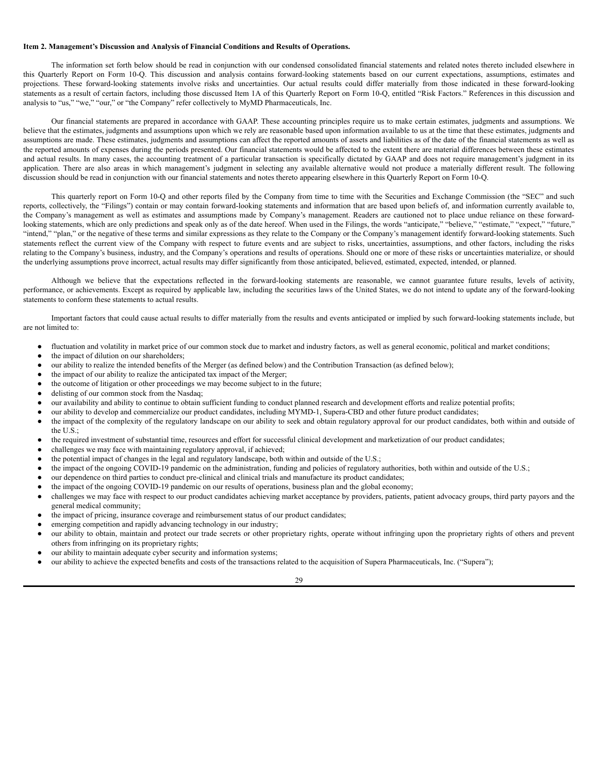#### <span id="page-29-0"></span>**Item 2. Management's Discussion and Analysis of Financial Conditions and Results of Operations.**

The information set forth below should be read in conjunction with our condensed consolidated financial statements and related notes thereto included elsewhere in this Quarterly Report on Form 10-Q. This discussion and analysis contains forward-looking statements based on our current expectations, assumptions, estimates and projections. These forward-looking statements involve risks and uncertainties. Our actual results could differ materially from those indicated in these forward-looking statements as a result of certain factors, including those discussed Item 1A of this Quarterly Report on Form 10-Q, entitled "Risk Factors." References in this discussion and analysis to "us," "we," "our," or "the Company" refer collectively to MyMD Pharmaceuticals, Inc.

Our financial statements are prepared in accordance with GAAP. These accounting principles require us to make certain estimates, judgments and assumptions. We believe that the estimates, judgments and assumptions upon which we rely are reasonable based upon information available to us at the time that these estimates, judgments and assumptions are made. These estimates, judgments and assumptions can affect the reported amounts of assets and liabilities as of the date of the financial statements as well as the reported amounts of expenses during the periods presented. Our financial statements would be affected to the extent there are material differences between these estimates and actual results. In many cases, the accounting treatment of a particular transaction is specifically dictated by GAAP and does not require management's judgment in its application. There are also areas in which management's judgment in selecting any available alternative would not produce a materially different result. The following discussion should be read in conjunction with our financial statements and notes thereto appearing elsewhere in this Quarterly Report on Form 10-Q.

This quarterly report on Form 10-Q and other reports filed by the Company from time to time with the Securities and Exchange Commission (the "SEC" and such reports, collectively, the "Filings") contain or may contain forward-looking statements and information that are based upon beliefs of, and information currently available to, the Company's management as well as estimates and assumptions made by Company's management. Readers are cautioned not to place undue reliance on these forwardlooking statements, which are only predictions and speak only as of the date hereof. When used in the Filings, the words "anticipate," "believe," "estimate," "expect," "future," "intend," "plan," or the negative of these terms and similar expressions as they relate to the Company or the Company's management identify forward-looking statements. Such statements reflect the current view of the Company with respect to future events and are subject to risks, uncertainties, assumptions, and other factors, including the risks relating to the Company's business, industry, and the Company's operations and results of operations. Should one or more of these risks or uncertainties materialize, or should the underlying assumptions prove incorrect, actual results may differ significantly from those anticipated, believed, estimated, expected, intended, or planned.

Although we believe that the expectations reflected in the forward-looking statements are reasonable, we cannot guarantee future results, levels of activity, performance, or achievements. Except as required by applicable law, including the securities laws of the United States, we do not intend to update any of the forward-looking statements to conform these statements to actual results.

Important factors that could cause actual results to differ materially from the results and events anticipated or implied by such forward-looking statements include, but are not limited to:

- fluctuation and volatility in market price of our common stock due to market and industry factors, as well as general economic, political and market conditions;
- the impact of dilution on our shareholders;
- our ability to realize the intended benefits of the Merger (as defined below) and the Contribution Transaction (as defined below);
- the impact of our ability to realize the anticipated tax impact of the Merger;
- the outcome of litigation or other proceedings we may become subject to in the future;
- delisting of our common stock from the Nasdaq;
- our availability and ability to continue to obtain sufficient funding to conduct planned research and development efforts and realize potential profits;
- our ability to develop and commercialize our product candidates, including MYMD-1, Supera-CBD and other future product candidates;
- the impact of the complexity of the regulatory landscape on our ability to seek and obtain regulatory approval for our product candidates, both within and outside of the U.S.;
- the required investment of substantial time, resources and effort for successful clinical development and marketization of our product candidates;
- challenges we may face with maintaining regulatory approval, if achieved;
- the potential impact of changes in the legal and regulatory landscape, both within and outside of the U.S.;
- the impact of the ongoing COVID-19 pandemic on the administration, funding and policies of regulatory authorities, both within and outside of the U.S.;
- our dependence on third parties to conduct pre-clinical and clinical trials and manufacture its product candidates;
- the impact of the ongoing COVID-19 pandemic on our results of operations, business plan and the global economy;
- challenges we may face with respect to our product candidates achieving market acceptance by providers, patients, patient advocacy groups, third party payors and the general medical community;
- the impact of pricing, insurance coverage and reimbursement status of our product candidates;
- emerging competition and rapidly advancing technology in our industry;
- our ability to obtain, maintain and protect our trade secrets or other proprietary rights, operate without infringing upon the proprietary rights of others and prevent others from infringing on its proprietary rights;
- our ability to maintain adequate cyber security and information systems;
- our ability to achieve the expected benefits and costs of the transactions related to the acquisition of Supera Pharmaceuticals, Inc. ("Supera");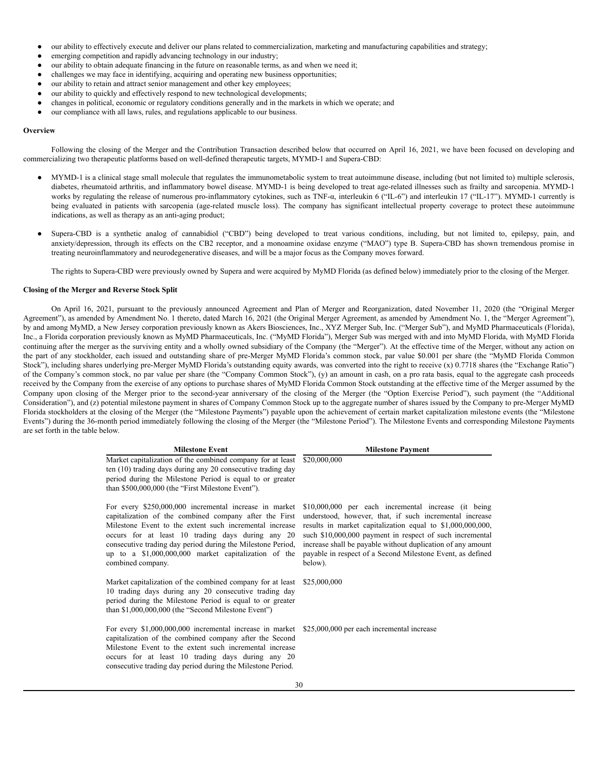- our ability to effectively execute and deliver our plans related to commercialization, marketing and manufacturing capabilities and strategy;
- emerging competition and rapidly advancing technology in our industry;
- our ability to obtain adequate financing in the future on reasonable terms, as and when we need it;
- challenges we may face in identifying, acquiring and operating new business opportunities;
- our ability to retain and attract senior management and other key employees;
- our ability to quickly and effectively respond to new technological developments;
- changes in political, economic or regulatory conditions generally and in the markets in which we operate; and
- our compliance with all laws, rules, and regulations applicable to our business.

#### **Overview**

Following the closing of the Merger and the Contribution Transaction described below that occurred on April 16, 2021, we have been focused on developing and commercializing two therapeutic platforms based on well-defined therapeutic targets, MYMD-1 and Supera-CBD:

- MYMD-1 is a clinical stage small molecule that regulates the immunometabolic system to treat autoimmune disease, including (but not limited to) multiple sclerosis, diabetes, rheumatoid arthritis, and inflammatory bowel disease. MYMD-1 is being developed to treat age-related illnesses such as frailty and sarcopenia. MYMD-1 works by regulating the release of numerous pro-inflammatory cytokines, such as TNF-α, interleukin 6 ("IL-6") and interleukin 17 ("IL-17"). MYMD-1 currently is being evaluated in patients with sarcopenia (age-related muscle loss). The company has significant intellectual property coverage to protect these autoimmune indications, as well as therapy as an anti-aging product;
- Supera-CBD is a synthetic analog of cannabidiol ("CBD") being developed to treat various conditions, including, but not limited to, epilepsy, pain, and anxiety/depression, through its effects on the CB2 receptor, and a monoamine oxidase enzyme ("MAO") type B. Supera-CBD has shown tremendous promise in treating neuroinflammatory and neurodegenerative diseases, and will be a major focus as the Company moves forward.

The rights to Supera-CBD were previously owned by Supera and were acquired by MyMD Florida (as defined below) immediately prior to the closing of the Merger.

#### **Closing of the Merger and Reverse Stock Split**

On April 16, 2021, pursuant to the previously announced Agreement and Plan of Merger and Reorganization, dated November 11, 2020 (the "Original Merger Agreement"), as amended by Amendment No. 1 thereto, dated March 16, 2021 (the Original Merger Agreement, as amended by Amendment No. 1, the "Merger Agreement"), by and among MyMD, a New Jersey corporation previously known as Akers Biosciences, Inc., XYZ Merger Sub, Inc. ("Merger Sub"), and MyMD Pharmaceuticals (Florida), Inc., a Florida corporation previously known as MyMD Pharmaceuticals, Inc. ("MyMD Florida"), Merger Sub was merged with and into MyMD Florida, with MyMD Florida continuing after the merger as the surviving entity and a wholly owned subsidiary of the Company (the "Merger"). At the effective time of the Merger, without any action on the part of any stockholder, each issued and outstanding share of pre-Merger MyMD Florida's common stock, par value \$0.001 per share (the "MyMD Florida Common Stock"), including shares underlying pre-Merger MyMD Florida's outstanding equity awards, was converted into the right to receive (x) 0.7718 shares (the "Exchange Ratio") of the Company's common stock, no par value per share (the "Company Common Stock"), (y) an amount in cash, on a pro rata basis, equal to the aggregate cash proceeds received by the Company from the exercise of any options to purchase shares of MyMD Florida Common Stock outstanding at the effective time of the Merger assumed by the Company upon closing of the Merger prior to the second-year anniversary of the closing of the Merger (the "Option Exercise Period"), such payment (the "Additional Consideration"), and (z) potential milestone payment in shares of Company Common Stock up to the aggregate number of shares issued by the Company to pre-Merger MyMD Florida stockholders at the closing of the Merger (the "Milestone Payments") payable upon the achievement of certain market capitalization milestone events (the "Milestone Events") during the 36-month period immediately following the closing of the Merger (the "Milestone Period"). The Milestone Events and corresponding Milestone Payments are set forth in the table below.

| <b>Milestone Event</b>                                                                                                                                                                                                                                                                                                                                                       | <b>Milestone Payment</b>                                                                                                                                                                                                                                                                                                                                                          |
|------------------------------------------------------------------------------------------------------------------------------------------------------------------------------------------------------------------------------------------------------------------------------------------------------------------------------------------------------------------------------|-----------------------------------------------------------------------------------------------------------------------------------------------------------------------------------------------------------------------------------------------------------------------------------------------------------------------------------------------------------------------------------|
| Market capitalization of the combined company for at least<br>ten (10) trading days during any 20 consecutive trading day<br>period during the Milestone Period is equal to or greater<br>than \$500,000,000 (the "First Milestone Event").                                                                                                                                  | \$20,000,000                                                                                                                                                                                                                                                                                                                                                                      |
| For every \$250,000,000 incremental increase in market<br>capitalization of the combined company after the First<br>Milestone Event to the extent such incremental increase<br>occurs for at least 10 trading days during any 20<br>consecutive trading day period during the Milestone Period,<br>up to a \$1,000,000,000 market capitalization of the<br>combined company. | \$10,000,000 per each incremental increase (it being<br>understood, however, that, if such incremental increase<br>results in market capitalization equal to \$1,000,000,000,<br>such \$10,000,000 payment in respect of such incremental<br>increase shall be payable without duplication of any amount<br>payable in respect of a Second Milestone Event, as defined<br>below). |
| Market capitalization of the combined company for at least<br>10 trading days during any 20 consecutive trading day<br>period during the Milestone Period is equal to or greater<br>than \$1,000,000,000 (the "Second Milestone Event")                                                                                                                                      | \$25,000,000                                                                                                                                                                                                                                                                                                                                                                      |
| For every \$1,000,000,000 incremental increase in market<br>capitalization of the combined company after the Second<br>Milestone Event to the extent such incremental increase<br>occurs for at least 10 trading days during any 20<br>consecutive trading day period during the Milestone Period.                                                                           | \$25,000,000 per each incremental increase                                                                                                                                                                                                                                                                                                                                        |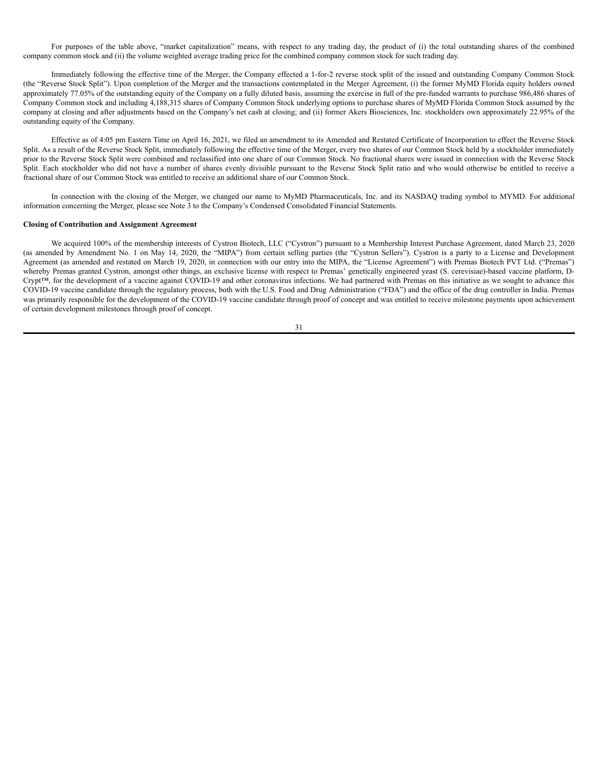For purposes of the table above, "market capitalization" means, with respect to any trading day, the product of (i) the total outstanding shares of the combined company common stock and (ii) the volume weighted average trading price for the combined company common stock for such trading day.

Immediately following the effective time of the Merger, the Company effected a 1-for-2 reverse stock split of the issued and outstanding Company Common Stock (the "Reverse Stock Split"). Upon completion of the Merger and the transactions contemplated in the Merger Agreement, (i) the former MyMD Florida equity holders owned approximately 77.05% of the outstanding equity of the Company on a fully diluted basis, assuming the exercise in full of the pre-funded warrants to purchase 986,486 shares of Company Common stock and including 4,188,315 shares of Company Common Stock underlying options to purchase shares of MyMD Florida Common Stock assumed by the company at closing and after adjustments based on the Company's net cash at closing; and (ii) former Akers Biosciences, Inc. stockholders own approximately 22.95% of the outstanding equity of the Company.

Effective as of 4:05 pm Eastern Time on April 16, 2021, we filed an amendment to its Amended and Restated Certificate of Incorporation to effect the Reverse Stock Split. As a result of the Reverse Stock Split, immediately following the effective time of the Merger, every two shares of our Common Stock held by a stockholder immediately prior to the Reverse Stock Split were combined and reclassified into one share of our Common Stock. No fractional shares were issued in connection with the Reverse Stock Split. Each stockholder who did not have a number of shares evenly divisible pursuant to the Reverse Stock Split ratio and who would otherwise be entitled to receive a fractional share of our Common Stock was entitled to receive an additional share of our Common Stock.

In connection with the closing of the Merger, we changed our name to MyMD Pharmaceuticals, Inc. and its NASDAQ trading symbol to MYMD. For additional information concerning the Merger, please see Note 3 to the Company's Condensed Consolidated Financial Statements.

#### **Closing of Contribution and Assignment Agreement**

We acquired 100% of the membership interests of Cystron Biotech, LLC ("Cystron") pursuant to a Membership Interest Purchase Agreement, dated March 23, 2020 (as amended by Amendment No. 1 on May 14, 2020, the "MIPA") from certain selling parties (the "Cystron Sellers"). Cystron is a party to a License and Development Agreement (as amended and restated on March 19, 2020, in connection with our entry into the MIPA, the "License Agreement") with Premas Biotech PVT Ltd. ("Premas") whereby Premas granted Cystron, amongst other things, an exclusive license with respect to Premas' genetically engineered yeast (S. cerevisiae)-based vaccine platform, D-Crypt™, for the development of a vaccine against COVID-19 and other coronavirus infections. We had partnered with Premas on this initiative as we sought to advance this COVID-19 vaccine candidate through the regulatory process, both with the U.S. Food and Drug Administration ("FDA") and the office of the drug controller in India. Premas was primarily responsible for the development of the COVID-19 vaccine candidate through proof of concept and was entitled to receive milestone payments upon achievement of certain development milestones through proof of concept.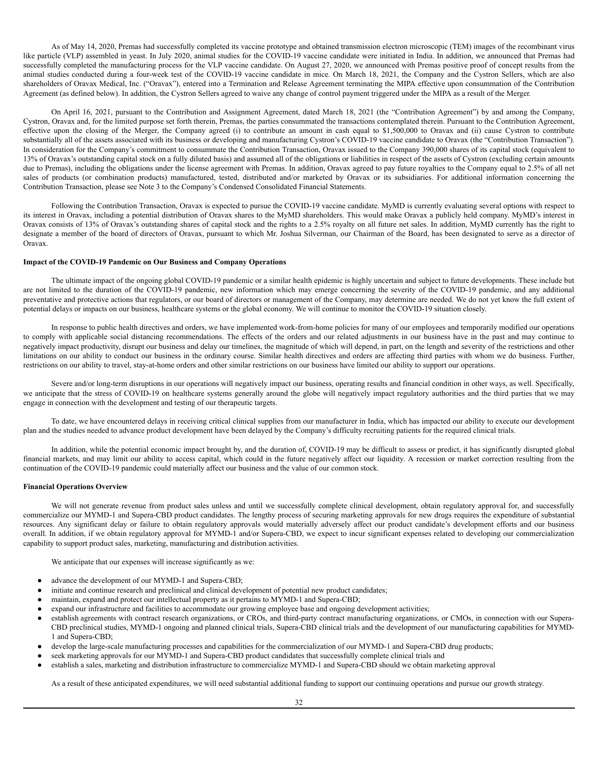As of May 14, 2020, Premas had successfully completed its vaccine prototype and obtained transmission electron microscopic (TEM) images of the recombinant virus like particle (VLP) assembled in yeast. In July 2020, animal studies for the COVID-19 vaccine candidate were initiated in India. In addition, we announced that Premas had successfully completed the manufacturing process for the VLP vaccine candidate. On August 27, 2020, we announced with Premas positive proof of concept results from the animal studies conducted during a four-week test of the COVID-19 vaccine candidate in mice. On March 18, 2021, the Company and the Cystron Sellers, which are also shareholders of Oravax Medical, Inc. ("Oravax"), entered into a Termination and Release Agreement terminating the MIPA effective upon consummation of the Contribution Agreement (as defined below). In addition, the Cystron Sellers agreed to waive any change of control payment triggered under the MIPA as a result of the Merger.

On April 16, 2021, pursuant to the Contribution and Assignment Agreement, dated March 18, 2021 (the "Contribution Agreement") by and among the Company, Cystron, Oravax and, for the limited purpose set forth therein, Premas, the parties consummated the transactions contemplated therein. Pursuant to the Contribution Agreement, effective upon the closing of the Merger, the Company agreed (i) to contribute an amount in cash equal to \$1,500,000 to Oravax and (ii) cause Cystron to contribute substantially all of the assets associated with its business or developing and manufacturing Cystron's COVID-19 vaccine candidate to Oravax (the "Contribution Transaction"). In consideration for the Company's commitment to consummate the Contribution Transaction, Oravax issued to the Company 390,000 shares of its capital stock (equivalent to 13% of Oravax's outstanding capital stock on a fully diluted basis) and assumed all of the obligations or liabilities in respect of the assets of Cystron (excluding certain amounts due to Premas), including the obligations under the license agreement with Premas. In addition, Oravax agreed to pay future royalties to the Company equal to 2.5% of all net sales of products (or combination products) manufactured, tested, distributed and/or marketed by Oravax or its subsidiaries. For additional information concerning the Contribution Transaction, please see Note 3 to the Company's Condensed Consolidated Financial Statements.

Following the Contribution Transaction, Oravax is expected to pursue the COVID-19 vaccine candidate. MyMD is currently evaluating several options with respect to its interest in Oravax, including a potential distribution of Oravax shares to the MyMD shareholders. This would make Oravax a publicly held company. MyMD's interest in Oravax consists of 13% of Oravax's outstanding shares of capital stock and the rights to a 2.5% royalty on all future net sales. In addition, MyMD currently has the right to designate a member of the board of directors of Oravax, pursuant to which Mr. Joshua Silverman, our Chairman of the Board, has been designated to serve as a director of Oravax.

#### **Impact of the COVID-19 Pandemic on Our Business and Company Operations**

The ultimate impact of the ongoing global COVID-19 pandemic or a similar health epidemic is highly uncertain and subject to future developments. These include but are not limited to the duration of the COVID-19 pandemic, new information which may emerge concerning the severity of the COVID-19 pandemic, and any additional preventative and protective actions that regulators, or our board of directors or management of the Company, may determine are needed. We do not yet know the full extent of potential delays or impacts on our business, healthcare systems or the global economy. We will continue to monitor the COVID-19 situation closely.

In response to public health directives and orders, we have implemented work-from-home policies for many of our employees and temporarily modified our operations to comply with applicable social distancing recommendations. The effects of the orders and our related adjustments in our business have in the past and may continue to negatively impact productivity, disrupt our business and delay our timelines, the magnitude of which will depend, in part, on the length and severity of the restrictions and other limitations on our ability to conduct our business in the ordinary course. Similar health directives and orders are affecting third parties with whom we do business. Further, restrictions on our ability to travel, stay-at-home orders and other similar restrictions on our business have limited our ability to support our operations.

Severe and/or long-term disruptions in our operations will negatively impact our business, operating results and financial condition in other ways, as well. Specifically, we anticipate that the stress of COVID-19 on healthcare systems generally around the globe will negatively impact regulatory authorities and the third parties that we may engage in connection with the development and testing of our therapeutic targets.

To date, we have encountered delays in receiving critical clinical supplies from our manufacturer in India, which has impacted our ability to execute our development plan and the studies needed to advance product development have been delayed by the Company's difficulty recruiting patients for the required clinical trials.

In addition, while the potential economic impact brought by, and the duration of, COVID-19 may be difficult to assess or predict, it has significantly disrupted global financial markets, and may limit our ability to access capital, which could in the future negatively affect our liquidity. A recession or market correction resulting from the continuation of the COVID-19 pandemic could materially affect our business and the value of our common stock.

#### **Financial Operations Overview**

We will not generate revenue from product sales unless and until we successfully complete clinical development, obtain regulatory approval for, and successfully commercialize our MYMD-1 and Supera-CBD product candidates. The lengthy process of securing marketing approvals for new drugs requires the expenditure of substantial resources. Any significant delay or failure to obtain regulatory approvals would materially adversely affect our product candidate's development efforts and our business overall. In addition, if we obtain regulatory approval for MYMD-1 and/or Supera-CBD, we expect to incur significant expenses related to developing our commercialization capability to support product sales, marketing, manufacturing and distribution activities.

We anticipate that our expenses will increase significantly as we:

- advance the development of our MYMD-1 and Supera-CBD;
- initiate and continue research and preclinical and clinical development of potential new product candidates;
- maintain, expand and protect our intellectual property as it pertains to MYMD-1 and Supera-CBD;
- expand our infrastructure and facilities to accommodate our growing employee base and ongoing development activities;
- establish agreements with contract research organizations, or CROs, and third-party contract manufacturing organizations, or CMOs, in connection with our Supera-CBD preclinical studies, MYMD-1 ongoing and planned clinical trials, Supera-CBD clinical trials and the development of our manufacturing capabilities for MYMD-1 and Supera-CBD;
- develop the large-scale manufacturing processes and capabilities for the commercialization of our MYMD-1 and Supera-CBD drug products;
- seek marketing approvals for our MYMD-1 and Supera-CBD product candidates that successfully complete clinical trials and
- establish a sales, marketing and distribution infrastructure to commercialize MYMD-1 and Supera-CBD should we obtain marketing approval

As a result of these anticipated expenditures, we will need substantial additional funding to support our continuing operations and pursue our growth strategy.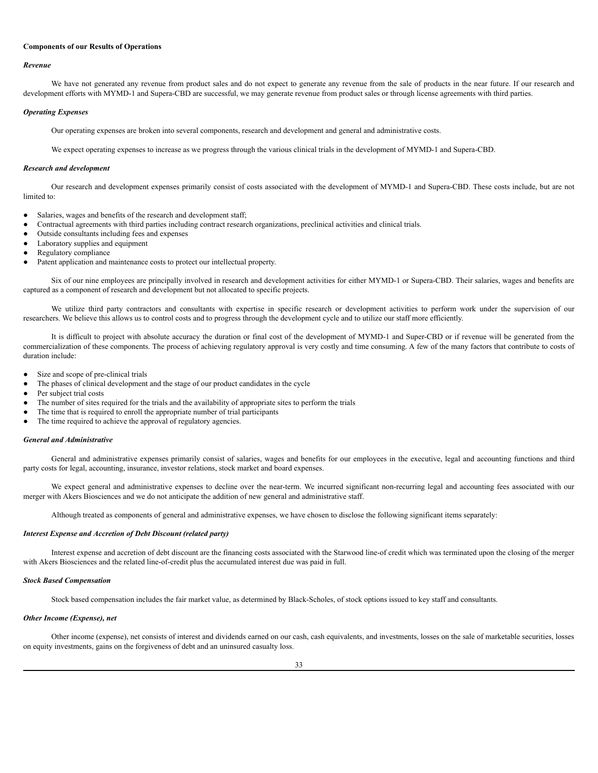### **Components of our Results of Operations**

#### *Revenue*

We have not generated any revenue from product sales and do not expect to generate any revenue from the sale of products in the near future. If our research and development efforts with MYMD-1 and Supera-CBD are successful, we may generate revenue from product sales or through license agreements with third parties.

#### *Operating Expenses*

Our operating expenses are broken into several components, research and development and general and administrative costs.

We expect operating expenses to increase as we progress through the various clinical trials in the development of MYMD-1 and Supera-CBD.

#### *Research and development*

Our research and development expenses primarily consist of costs associated with the development of MYMD-1 and Supera-CBD. These costs include, but are not limited to:

- Salaries, wages and benefits of the research and development staff;
- Contractual agreements with third parties including contract research organizations, preclinical activities and clinical trials.
- Outside consultants including fees and expenses
- Laboratory supplies and equipment
- Regulatory compliance
- Patent application and maintenance costs to protect our intellectual property.

Six of our nine employees are principally involved in research and development activities for either MYMD-1 or Supera-CBD. Their salaries, wages and benefits are captured as a component of research and development but not allocated to specific projects.

We utilize third party contractors and consultants with expertise in specific research or development activities to perform work under the supervision of our researchers. We believe this allows us to control costs and to progress through the development cycle and to utilize our staff more efficiently.

It is difficult to project with absolute accuracy the duration or final cost of the development of MYMD-1 and Super-CBD or if revenue will be generated from the commercialization of these components. The process of achieving regulatory approval is very costly and time consuming. A few of the many factors that contribute to costs of duration include:

- Size and scope of pre-clinical trials
- The phases of clinical development and the stage of our product candidates in the cycle
- Per subject trial costs
- The number of sites required for the trials and the availability of appropriate sites to perform the trials
- The time that is required to enroll the appropriate number of trial participants
- The time required to achieve the approval of regulatory agencies.

#### *General and Administrative*

General and administrative expenses primarily consist of salaries, wages and benefits for our employees in the executive, legal and accounting functions and third party costs for legal, accounting, insurance, investor relations, stock market and board expenses.

We expect general and administrative expenses to decline over the near-term. We incurred significant non-recurring legal and accounting fees associated with our merger with Akers Biosciences and we do not anticipate the addition of new general and administrative staff.

Although treated as components of general and administrative expenses, we have chosen to disclose the following significant items separately:

#### *Interest Expense and Accretion of Debt Discount (related party)*

Interest expense and accretion of debt discount are the financing costs associated with the Starwood line-of credit which was terminated upon the closing of the merger with Akers Biosciences and the related line-of-credit plus the accumulated interest due was paid in full.

#### *Stock Based Compensation*

Stock based compensation includes the fair market value, as determined by Black-Scholes, of stock options issued to key staff and consultants.

## *Other Income (Expense), net*

Other income (expense), net consists of interest and dividends earned on our cash, cash equivalents, and investments, losses on the sale of marketable securities, losses on equity investments, gains on the forgiveness of debt and an uninsured casualty loss.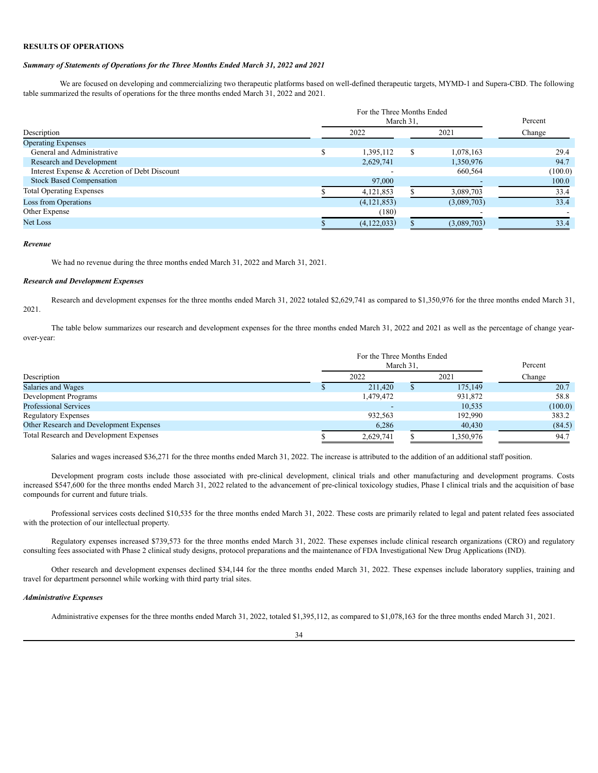#### **RESULTS OF OPERATIONS**

#### *Summary of Statements of Operations for the Three Months Ended March 31, 2022 and 2021*

We are focused on developing and commercializing two therapeutic platforms based on well-defined therapeutic targets, MYMD-1 and Supera-CBD. The following table summarized the results of operations for the three months ended March 31, 2022 and 2021.

|                                               | For the Three Months Ended<br>March 31. |               |      |             | Percent |  |
|-----------------------------------------------|-----------------------------------------|---------------|------|-------------|---------|--|
| Description                                   | 2022                                    |               | 2021 |             | Change  |  |
| <b>Operating Expenses</b>                     |                                         |               |      |             |         |  |
| General and Administrative                    |                                         | 1,395,112     |      | 1,078,163   | 29.4    |  |
| Research and Development                      |                                         | 2,629,741     |      | 1,350,976   | 94.7    |  |
| Interest Expense & Accretion of Debt Discount |                                         |               |      | 660,564     | (100.0) |  |
| <b>Stock Based Compensation</b>               |                                         | 97,000        |      |             | 100.0   |  |
| <b>Total Operating Expenses</b>               |                                         | 4,121,853     |      | 3,089,703   | 33.4    |  |
| Loss from Operations                          |                                         | (4, 121, 853) |      | (3,089,703) | 33.4    |  |
| Other Expense                                 |                                         | (180)         |      |             |         |  |
| Net Loss                                      |                                         | (4,122,033)   |      | (3,089,703) | 33.4    |  |

#### *Revenue*

We had no revenue during the three months ended March 31, 2022 and March 31, 2021.

#### *Research and Development Expenses*

Research and development expenses for the three months ended March 31, 2022 totaled \$2,629,741 as compared to \$1,350,976 for the three months ended March 31, 2021.

The table below summarizes our research and development expenses for the three months ended March 31, 2022 and 2021 as well as the percentage of change yearover-year:

|                                         | For the Three Months Ended |  |           |         |  |
|-----------------------------------------|----------------------------|--|-----------|---------|--|
| Description                             | March 31.                  |  |           |         |  |
|                                         | 2022                       |  | 2021      | Change  |  |
| Salaries and Wages                      | 211.420                    |  | 175.149   | 20.7    |  |
| Development Programs                    | 1,479,472                  |  | 931,872   | 58.8    |  |
| <b>Professional Services</b>            |                            |  | 10.535    | (100.0) |  |
| <b>Regulatory Expenses</b>              | 932,563                    |  | 192.990   | 383.2   |  |
| Other Research and Development Expenses | 6,286                      |  | 40,430    | (84.5)  |  |
| Total Research and Development Expenses | 2,629,741                  |  | 1,350,976 | 94.7    |  |

Salaries and wages increased \$36,271 for the three months ended March 31, 2022. The increase is attributed to the addition of an additional staff position.

Development program costs include those associated with pre-clinical development, clinical trials and other manufacturing and development programs. Costs increased \$547,600 for the three months ended March 31, 2022 related to the advancement of pre-clinical toxicology studies, Phase I clinical trials and the acquisition of base compounds for current and future trials.

Professional services costs declined \$10,535 for the three months ended March 31, 2022. These costs are primarily related to legal and patent related fees associated with the protection of our intellectual property.

Regulatory expenses increased \$739,573 for the three months ended March 31, 2022. These expenses include clinical research organizations (CRO) and regulatory consulting fees associated with Phase 2 clinical study designs, protocol preparations and the maintenance of FDA Investigational New Drug Applications (IND).

Other research and development expenses declined \$34,144 for the three months ended March 31, 2022. These expenses include laboratory supplies, training and travel for department personnel while working with third party trial sites.

## *Administrative Expenses*

Administrative expenses for the three months ended March 31, 2022, totaled \$1,395,112, as compared to \$1,078,163 for the three months ended March 31, 2021.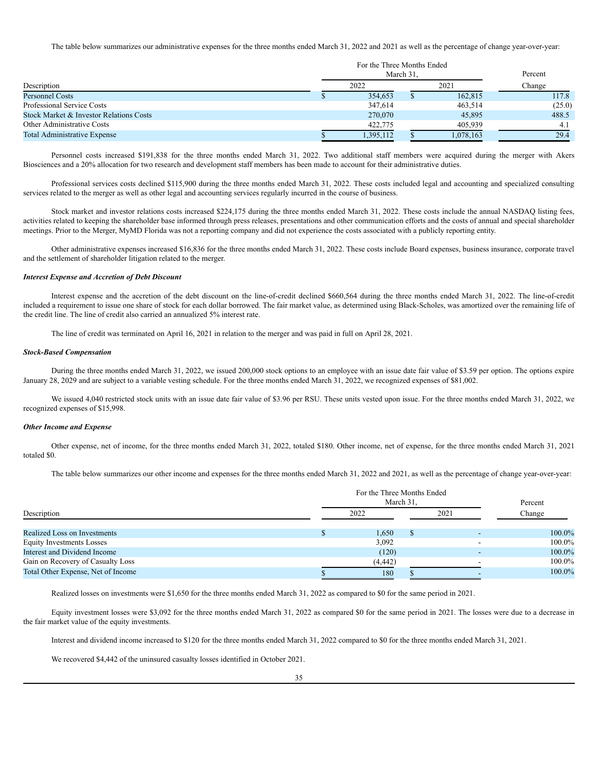The table below summarizes our administrative expenses for the three months ended March 31, 2022 and 2021 as well as the percentage of change year-over-year:

|                                         | For the Three Months Ended |  |           |        |  |
|-----------------------------------------|----------------------------|--|-----------|--------|--|
|                                         | March 31                   |  |           |        |  |
| Description                             | 2022                       |  | 2021      | Change |  |
| Personnel Costs                         | 354,653                    |  | 162,815   | 117.8  |  |
| Professional Service Costs              | 347,614                    |  | 463,514   | (25.0) |  |
| Stock Market & Investor Relations Costs | 270,070                    |  | 45,895    | 488.5  |  |
| Other Administrative Costs              | 422,775                    |  | 405.939   |        |  |
| <b>Total Administrative Expense</b>     | 1,395,112                  |  | 1,078,163 | 29.4   |  |

Personnel costs increased \$191,838 for the three months ended March 31, 2022. Two additional staff members were acquired during the merger with Akers Biosciences and a 20% allocation for two research and development staff members has been made to account for their administrative duties.

Professional services costs declined \$115,900 during the three months ended March 31, 2022. These costs included legal and accounting and specialized consulting services related to the merger as well as other legal and accounting services regularly incurred in the course of business.

Stock market and investor relations costs increased \$224,175 during the three months ended March 31, 2022. These costs include the annual NASDAQ listing fees, activities related to keeping the shareholder base informed through press releases, presentations and other communication efforts and the costs of annual and special shareholder meetings. Prior to the Merger, MyMD Florida was not a reporting company and did not experience the costs associated with a publicly reporting entity.

Other administrative expenses increased \$16,836 for the three months ended March 31, 2022. These costs include Board expenses, business insurance, corporate travel and the settlement of shareholder litigation related to the merger.

#### *Interest Expense and Accretion of Debt Discount*

Interest expense and the accretion of the debt discount on the line-of-credit declined \$660,564 during the three months ended March 31, 2022. The line-of-credit included a requirement to issue one share of stock for each dollar borrowed. The fair market value, as determined using Black-Scholes, was amortized over the remaining life of the credit line. The line of credit also carried an annualized 5% interest rate.

The line of credit was terminated on April 16, 2021 in relation to the merger and was paid in full on April 28, 2021.

#### *Stock-Based Compensation*

During the three months ended March 31, 2022, we issued 200,000 stock options to an employee with an issue date fair value of \$3.59 per option. The options expire January 28, 2029 and are subject to a variable vesting schedule. For the three months ended March 31, 2022, we recognized expenses of \$81,002.

We issued 4,040 restricted stock units with an issue date fair value of \$3.96 per RSU. These units vested upon issue. For the three months ended March 31, 2022, we recognized expenses of \$15,998.

#### *Other Income and Expense*

Other expense, net of income, for the three months ended March 31, 2022, totaled \$180. Other income, net of expense, for the three months ended March 31, 2021 totaled \$0.

The table below summarizes our other income and expenses for the three months ended March 31, 2022 and 2021, as well as the percentage of change year-over-year:

|                                    | For the Three Months Ended<br>March 31. |  |      |        |  |
|------------------------------------|-----------------------------------------|--|------|--------|--|
| Description                        | 2022                                    |  | 2021 | Change |  |
| Realized Loss on Investments       | 1,650                                   |  |      | 100.0% |  |
| <b>Equity Investments Losses</b>   | 3,092                                   |  | -    | 100.0% |  |
| Interest and Dividend Income       | (120)                                   |  |      | 100.0% |  |
| Gain on Recovery of Casualty Loss  | (4, 442)                                |  |      | 100.0% |  |
| Total Other Expense, Net of Income | 180                                     |  |      | 100.0% |  |

Realized losses on investments were \$1,650 for the three months ended March 31, 2022 as compared to \$0 for the same period in 2021.

Equity investment losses were \$3,092 for the three months ended March 31, 2022 as compared \$0 for the same period in 2021. The losses were due to a decrease in the fair market value of the equity investments.

Interest and dividend income increased to \$120 for the three months ended March 31, 2022 compared to \$0 for the three months ended March 31, 2021.

We recovered \$4,442 of the uninsured casualty losses identified in October 2021.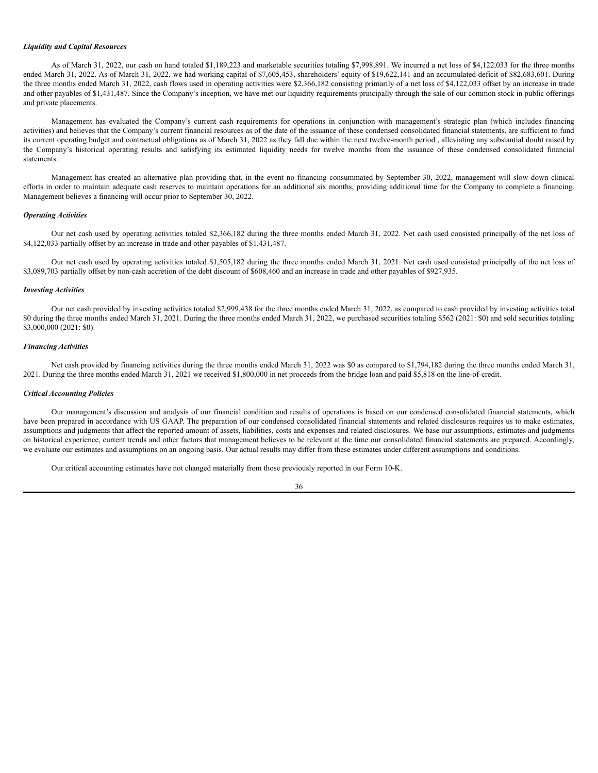### *Liquidity and Capital Resources*

As of March 31, 2022, our cash on hand totaled \$1,189,223 and marketable securities totaling \$7,998,891. We incurred a net loss of \$4,122,033 for the three months ended March 31, 2022. As of March 31, 2022, we had working capital of \$7,605,453, shareholders' equity of \$19,622,141 and an accumulated deficit of \$82,683,601. During the three months ended March 31, 2022, cash flows used in operating activities were \$2,366,182 consisting primarily of a net loss of \$4,122,033 offset by an increase in trade and other payables of \$1,431,487. Since the Company's inception, we have met our liquidity requirements principally through the sale of our common stock in public offerings and private placements.

Management has evaluated the Company's current cash requirements for operations in conjunction with management's strategic plan (which includes financing activities) and believes that the Company's current financial resources as of the date of the issuance of these condensed consolidated financial statements, are sufficient to fund its current operating budget and contractual obligations as of March 31, 2022 as they fall due within the next twelve-month period , alleviating any substantial doubt raised by the Company's historical operating results and satisfying its estimated liquidity needs for twelve months from the issuance of these condensed consolidated financial statements.

Management has created an alternative plan providing that, in the event no financing consummated by September 30, 2022, management will slow down clinical efforts in order to maintain adequate cash reserves to maintain operations for an additional six months, providing additional time for the Company to complete a financing. Management believes a financing will occur prior to September 30, 2022.

## *Operating Activities*

Our net cash used by operating activities totaled \$2,366,182 during the three months ended March 31, 2022. Net cash used consisted principally of the net loss of \$4,122,033 partially offset by an increase in trade and other payables of \$1,431,487.

Our net cash used by operating activities totaled \$1,505,182 during the three months ended March 31, 2021. Net cash used consisted principally of the net loss of \$3,089,703 partially offset by non-cash accretion of the debt discount of \$608,460 and an increase in trade and other payables of \$927,935.

#### *Investing Activities*

Our net cash provided by investing activities totaled \$2,999,438 for the three months ended March 31, 2022, as compared to cash provided by investing activities total \$0 during the three months ended March 31, 2021. During the three months ended March 31, 2022, we purchased securities totaling \$562 (2021: \$0) and sold securities totaling \$3,000,000 (2021: \$0).

#### *Financing Activities*

Net cash provided by financing activities during the three months ended March 31, 2022 was \$0 as compared to \$1,794,182 during the three months ended March 31, 2021. During the three months ended March 31, 2021 we received \$1,800,000 in net proceeds from the bridge loan and paid \$5,818 on the line-of-credit.

#### *Critical Accounting Policies*

Our management's discussion and analysis of our financial condition and results of operations is based on our condensed consolidated financial statements, which have been prepared in accordance with US GAAP. The preparation of our condensed consolidated financial statements and related disclosures requires us to make estimates, assumptions and judgments that affect the reported amount of assets, liabilities, costs and expenses and related disclosures. We base our assumptions, estimates and judgments on historical experience, current trends and other factors that management believes to be relevant at the time our consolidated financial statements are prepared. Accordingly, we evaluate our estimates and assumptions on an ongoing basis. Our actual results may differ from these estimates under different assumptions and conditions.

Our critical accounting estimates have not changed materially from those previously reported in our Form 10-K.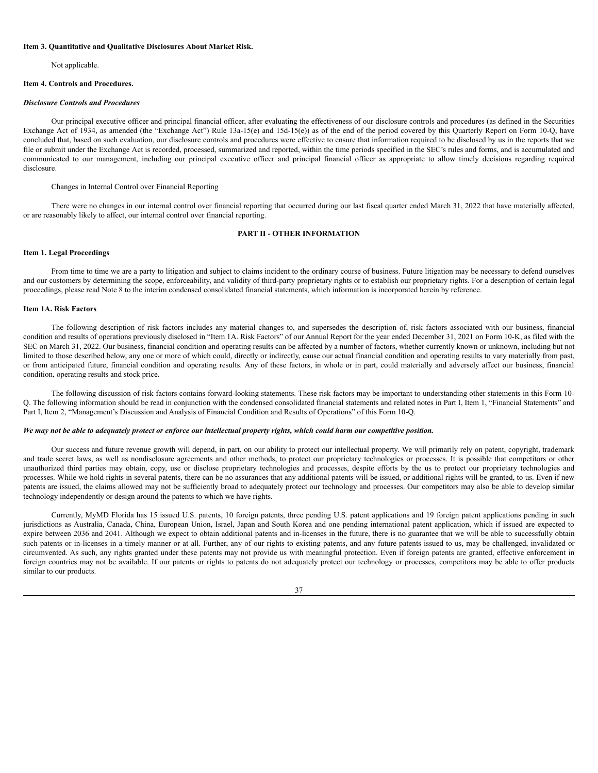### <span id="page-37-0"></span>**Item 3. Quantitative and Qualitative Disclosures About Market Risk.**

Not applicable.

### <span id="page-37-1"></span>**Item 4. Controls and Procedures.**

#### *Disclosure Controls and Procedures*

Our principal executive officer and principal financial officer, after evaluating the effectiveness of our disclosure controls and procedures (as defined in the Securities Exchange Act of 1934, as amended (the "Exchange Act") Rule 13a-15(e) and 15d-15(e)) as of the end of the period covered by this Quarterly Report on Form 10-Q, have concluded that, based on such evaluation, our disclosure controls and procedures were effective to ensure that information required to be disclosed by us in the reports that we file or submit under the Exchange Act is recorded, processed, summarized and reported, within the time periods specified in the SEC's rules and forms, and is accumulated and communicated to our management, including our principal executive officer and principal financial officer as appropriate to allow timely decisions regarding required disclosure.

Changes in Internal Control over Financial Reporting

There were no changes in our internal control over financial reporting that occurred during our last fiscal quarter ended March 31, 2022 that have materially affected, or are reasonably likely to affect, our internal control over financial reporting.

## **PART II - OTHER INFORMATION**

### <span id="page-37-3"></span><span id="page-37-2"></span>**Item 1. Legal Proceedings**

From time to time we are a party to litigation and subject to claims incident to the ordinary course of business. Future litigation may be necessary to defend ourselves and our customers by determining the scope, enforceability, and validity of third-party proprietary rights or to establish our proprietary rights. For a description of certain legal proceedings, please read Note 8 to the interim condensed consolidated financial statements, which information is incorporated herein by reference.

#### <span id="page-37-4"></span>**Item 1A. Risk Factors**

The following description of risk factors includes any material changes to, and supersedes the description of, risk factors associated with our business, financial condition and results of operations previously disclosed in "Item 1A. Risk Factors" of our Annual Report for the year ended December 31, 2021 on Form 10-K, as filed with the SEC on March 31, 2022. Our business, financial condition and operating results can be affected by a number of factors, whether currently known or unknown, including but not limited to those described below, any one or more of which could, directly or indirectly, cause our actual financial condition and operating results to vary materially from past, or from anticipated future, financial condition and operating results. Any of these factors, in whole or in part, could materially and adversely affect our business, financial condition, operating results and stock price.

The following discussion of risk factors contains forward-looking statements. These risk factors may be important to understanding other statements in this Form 10- Q. The following information should be read in conjunction with the condensed consolidated financial statements and related notes in Part I, Item 1, "Financial Statements" and Part I, Item 2, "Management's Discussion and Analysis of Financial Condition and Results of Operations" of this Form 10-Q.

## We may not be able to adequately protect or enforce our intellectual property rights, which could harm our competitive position.

Our success and future revenue growth will depend, in part, on our ability to protect our intellectual property. We will primarily rely on patent, copyright, trademark and trade secret laws, as well as nondisclosure agreements and other methods, to protect our proprietary technologies or processes. It is possible that competitors or other unauthorized third parties may obtain, copy, use or disclose proprietary technologies and processes, despite efforts by the us to protect our proprietary technologies and processes. While we hold rights in several patents, there can be no assurances that any additional patents will be issued, or additional rights will be granted, to us. Even if new patents are issued, the claims allowed may not be sufficiently broad to adequately protect our technology and processes. Our competitors may also be able to develop similar technology independently or design around the patents to which we have rights.

Currently, MyMD Florida has 15 issued U.S. patents, 10 foreign patents, three pending U.S. patent applications and 19 foreign patent applications pending in such jurisdictions as Australia, Canada, China, European Union, Israel, Japan and South Korea and one pending international patent application, which if issued are expected to expire between 2036 and 2041. Although we expect to obtain additional patents and in-licenses in the future, there is no guarantee that we will be able to successfully obtain such patents or in-licenses in a timely manner or at all. Further, any of our rights to existing patents, and any future patents issued to us, may be challenged, invalidated or circumvented. As such, any rights granted under these patents may not provide us with meaningful protection. Even if foreign patents are granted, effective enforcement in foreign countries may not be available. If our patents or rights to patents do not adequately protect our technology or processes, competitors may be able to offer products similar to our products.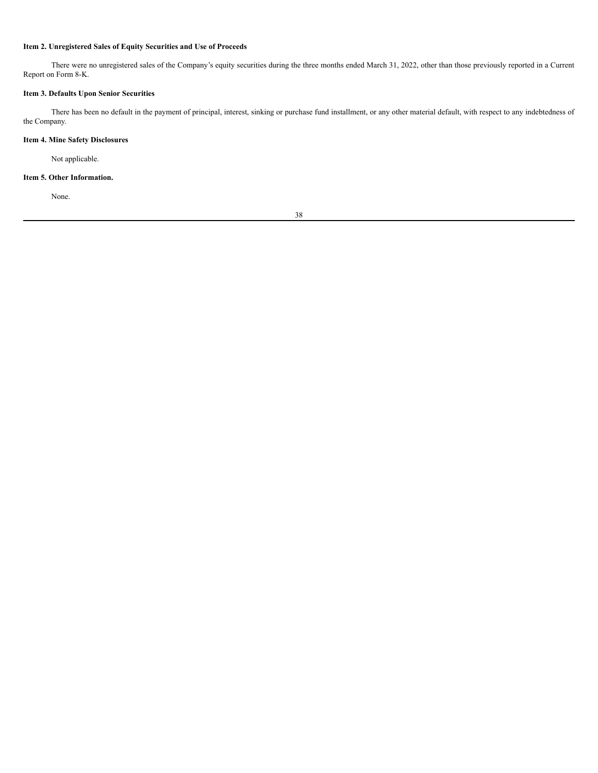## <span id="page-38-0"></span>**Item 2. Unregistered Sales of Equity Securities and Use of Proceeds**

There were no unregistered sales of the Company's equity securities during the three months ended March 31, 2022, other than those previously reported in a Current Report on Form 8-K.

## <span id="page-38-1"></span>**Item 3. Defaults Upon Senior Securities**

There has been no default in the payment of principal, interest, sinking or purchase fund installment, or any other material default, with respect to any indebtedness of the Company.

## <span id="page-38-2"></span>**Item 4. Mine Safety Disclosures**

Not applicable.

## <span id="page-38-3"></span>**Item 5. Other Information.**

None.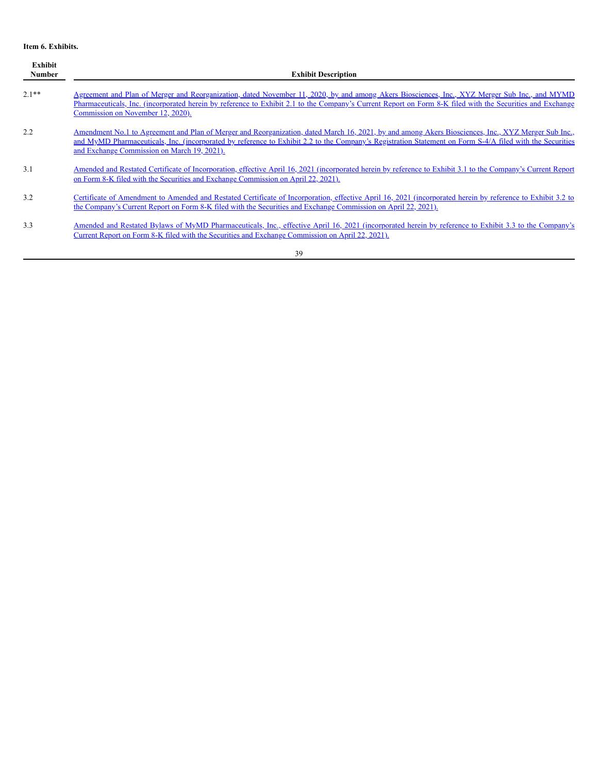## <span id="page-39-0"></span>**Item 6. Exhibits.**

| <b>Exhibit</b><br><b>Number</b> | <b>Exhibit Description</b>                                                                                                                                                                                                                                                                                                                                     |
|---------------------------------|----------------------------------------------------------------------------------------------------------------------------------------------------------------------------------------------------------------------------------------------------------------------------------------------------------------------------------------------------------------|
| $2.1**$                         | Agreement and Plan of Merger and Reorganization, dated November 11, 2020, by and among Akers Biosciences, Inc., XYZ Merger Sub Inc., and MYMD<br>Pharmaceuticals, Inc. (incorporated herein by reference to Exhibit 2.1 to the Company's Current Report on Form 8-K filed with the Securities and Exchange<br>Commission on November 12, 2020).                |
| 2.2                             | Amendment No.1 to Agreement and Plan of Merger and Reorganization, dated March 16, 2021, by and among Akers Biosciences, Inc., XYZ Merger Sub Inc.,<br>and MyMD Pharmaceuticals, Inc. (incorporated by reference to Exhibit 2.2 to the Company's Registration Statement on Form S-4/A filed with the Securities<br>and Exchange Commission on March 19, 2021). |
| 3.1                             | Amended and Restated Certificate of Incorporation, effective April 16, 2021 (incorporated herein by reference to Exhibit 3.1 to the Company's Current Report<br>on Form 8-K filed with the Securities and Exchange Commission on April 22, 2021).                                                                                                              |
| 3.2                             | Certificate of Amendment to Amended and Restated Certificate of Incorporation, effective April 16, 2021 (incorporated herein by reference to Exhibit 3.2 to<br>the Company's Current Report on Form 8-K filed with the Securities and Exchange Commission on April 22, 2021).                                                                                  |
| 3.3                             | Amended and Restated Bylaws of MyMD Pharmaceuticals, Inc., effective April 16, 2021 (incorporated herein by reference to Exhibit 3.3 to the Company's<br>Current Report on Form 8-K filed with the Securities and Exchange Commission on April 22, 2021).                                                                                                      |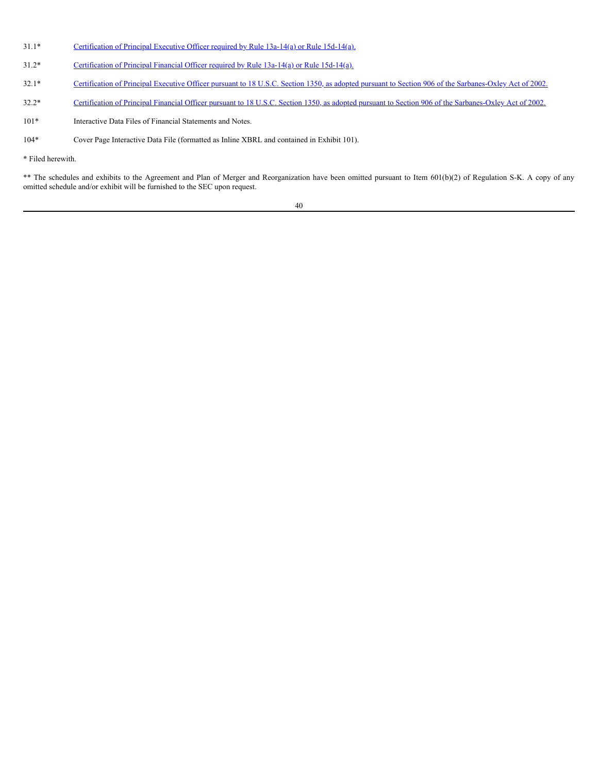- 31.1\* [Certification](https://s3.amazonaws.com/content.stockpr.com/sec/0001493152-22-013927/ex31-1.htm) of Principal Executive Officer required by Rule 13a-14(a) or Rule 15d-14(a).
- 31.2\* [Certification](https://s3.amazonaws.com/content.stockpr.com/sec/0001493152-22-013927/ex31-2.htm) of Principal Financial Officer required by Rule 13a-14(a) or Rule 15d-14(a).
- 32.1\* Certification of Principal Executive Officer pursuant to 18 U.S.C. Section 1350, as adopted pursuant to Section 906 of the [Sarbanes-Oxley](https://s3.amazonaws.com/content.stockpr.com/sec/0001493152-22-013927/ex32-1.htm) Act of 2002.
- 32.2\* Certification of Principal Financial Officer pursuant to 18 U.S.C. Section 1350, as adopted pursuant to Section 906 of the [Sarbanes-Oxley](https://s3.amazonaws.com/content.stockpr.com/sec/0001493152-22-013927/ex32-2.htm) Act of 2002.
- 101\* Interactive Data Files of Financial Statements and Notes.
- 104\* Cover Page Interactive Data File (formatted as Inline XBRL and contained in Exhibit 101).

\*\* The schedules and exhibits to the Agreement and Plan of Merger and Reorganization have been omitted pursuant to Item 601(b)(2) of Regulation S-K. A copy of any omitted schedule and/or exhibit will be furnished to the SEC upon request.

<sup>\*</sup> Filed herewith.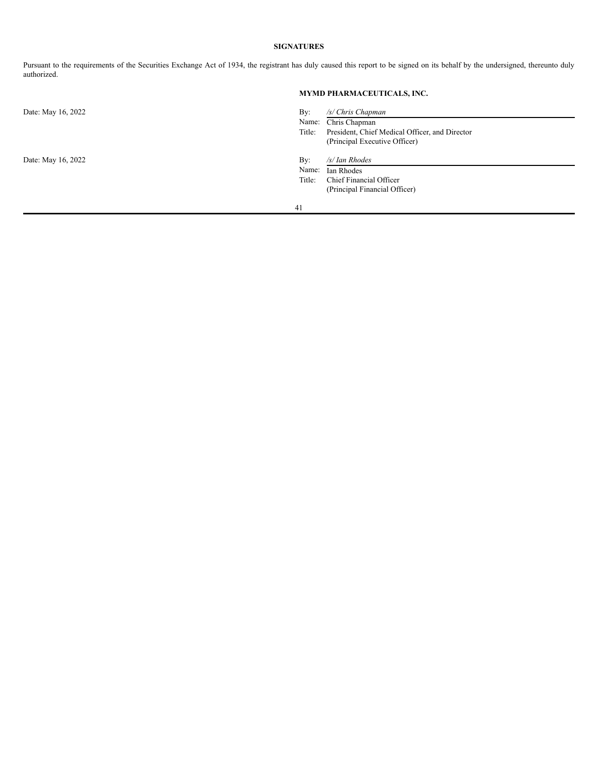## **SIGNATURES**

<span id="page-41-0"></span>Pursuant to the requirements of the Securities Exchange Act of 1934, the registrant has duly caused this report to be signed on its behalf by the undersigned, thereunto duly authorized.

| Date: May 16, 2022 | By:<br>Name:<br>Title: | /s/ Chris Chapman<br>Chris Chapman<br>President, Chief Medical Officer, and Director<br>(Principal Executive Officer) |
|--------------------|------------------------|-----------------------------------------------------------------------------------------------------------------------|
| Date: May 16, 2022 | By:<br>Name:<br>Title: | /s/ Ian Rhodes<br>Ian Rhodes<br>Chief Financial Officer<br>(Principal Financial Officer)                              |
|                    | 41                     |                                                                                                                       |

# **MYMD PHARMACEUTICALS, INC.**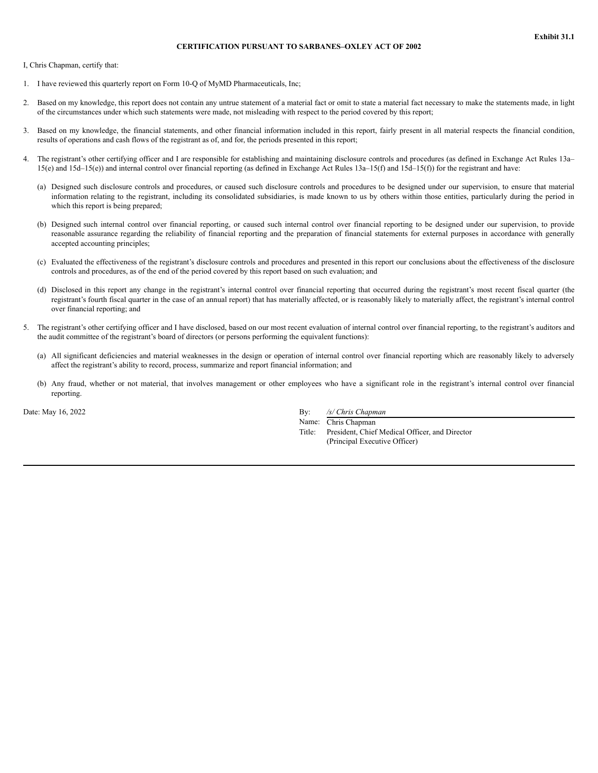## **CERTIFICATION PURSUANT TO SARBANES–OXLEY ACT OF 2002**

I, Chris Chapman, certify that:

- 1. I have reviewed this quarterly report on Form 10-Q of MyMD Pharmaceuticals, Inc;
- 2. Based on my knowledge, this report does not contain any untrue statement of a material fact or omit to state a material fact necessary to make the statements made, in light of the circumstances under which such statements were made, not misleading with respect to the period covered by this report;
- 3. Based on my knowledge, the financial statements, and other financial information included in this report, fairly present in all material respects the financial condition, results of operations and cash flows of the registrant as of, and for, the periods presented in this report;
- 4. The registrant's other certifying officer and I are responsible for establishing and maintaining disclosure controls and procedures (as defined in Exchange Act Rules 13a– 15(e) and 15d–15(e)) and internal control over financial reporting (as defined in Exchange Act Rules 13a–15(f) and 15d–15(f)) for the registrant and have:
	- (a) Designed such disclosure controls and procedures, or caused such disclosure controls and procedures to be designed under our supervision, to ensure that material information relating to the registrant, including its consolidated subsidiaries, is made known to us by others within those entities, particularly during the period in which this report is being prepared;
	- (b) Designed such internal control over financial reporting, or caused such internal control over financial reporting to be designed under our supervision, to provide reasonable assurance regarding the reliability of financial reporting and the preparation of financial statements for external purposes in accordance with generally accepted accounting principles;
	- (c) Evaluated the effectiveness of the registrant's disclosure controls and procedures and presented in this report our conclusions about the effectiveness of the disclosure controls and procedures, as of the end of the period covered by this report based on such evaluation; and
	- (d) Disclosed in this report any change in the registrant's internal control over financial reporting that occurred during the registrant's most recent fiscal quarter (the registrant's fourth fiscal quarter in the case of an annual report) that has materially affected, or is reasonably likely to materially affect, the registrant's internal control over financial reporting; and
- 5. The registrant's other certifying officer and I have disclosed, based on our most recent evaluation of internal control over financial reporting, to the registrant's auditors and the audit committee of the registrant's board of directors (or persons performing the equivalent functions):
	- (a) All significant deficiencies and material weaknesses in the design or operation of internal control over financial reporting which are reasonably likely to adversely affect the registrant's ability to record, process, summarize and report financial information; and
	- (b) Any fraud, whether or not material, that involves management or other employees who have a significant role in the registrant's internal control over financial reporting.

Date: May 16, 2022 By: */s/ Chris Chapman*

Name: Chris Chapman Title: President, Chief Medical Officer, and Director (Principal Executive Officer)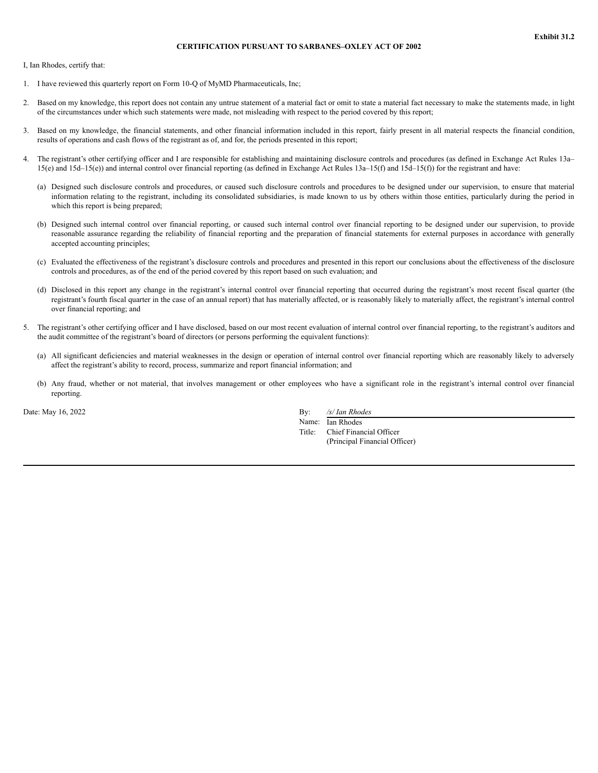## **CERTIFICATION PURSUANT TO SARBANES–OXLEY ACT OF 2002**

I, Ian Rhodes, certify that:

- 1. I have reviewed this quarterly report on Form 10-Q of MyMD Pharmaceuticals, Inc;
- 2. Based on my knowledge, this report does not contain any untrue statement of a material fact or omit to state a material fact necessary to make the statements made, in light of the circumstances under which such statements were made, not misleading with respect to the period covered by this report;
- 3. Based on my knowledge, the financial statements, and other financial information included in this report, fairly present in all material respects the financial condition, results of operations and cash flows of the registrant as of, and for, the periods presented in this report;
- 4. The registrant's other certifying officer and I are responsible for establishing and maintaining disclosure controls and procedures (as defined in Exchange Act Rules 13a– 15(e) and 15d–15(e)) and internal control over financial reporting (as defined in Exchange Act Rules 13a–15(f) and 15d–15(f)) for the registrant and have:
	- (a) Designed such disclosure controls and procedures, or caused such disclosure controls and procedures to be designed under our supervision, to ensure that material information relating to the registrant, including its consolidated subsidiaries, is made known to us by others within those entities, particularly during the period in which this report is being prepared;
	- (b) Designed such internal control over financial reporting, or caused such internal control over financial reporting to be designed under our supervision, to provide reasonable assurance regarding the reliability of financial reporting and the preparation of financial statements for external purposes in accordance with generally accepted accounting principles;
	- (c) Evaluated the effectiveness of the registrant's disclosure controls and procedures and presented in this report our conclusions about the effectiveness of the disclosure controls and procedures, as of the end of the period covered by this report based on such evaluation; and
	- (d) Disclosed in this report any change in the registrant's internal control over financial reporting that occurred during the registrant's most recent fiscal quarter (the registrant's fourth fiscal quarter in the case of an annual report) that has materially affected, or is reasonably likely to materially affect, the registrant's internal control over financial reporting; and
- 5. The registrant's other certifying officer and I have disclosed, based on our most recent evaluation of internal control over financial reporting, to the registrant's auditors and the audit committee of the registrant's board of directors (or persons performing the equivalent functions):
	- (a) All significant deficiencies and material weaknesses in the design or operation of internal control over financial reporting which are reasonably likely to adversely affect the registrant's ability to record, process, summarize and report financial information; and
	- (b) Any fraud, whether or not material, that involves management or other employees who have a significant role in the registrant's internal control over financial reporting.

Date: May 16, 2022 By: */s/ Ian Rhodes*

Name: Ian Rhodes Title: Chief Financial Officer (Principal Financial Officer)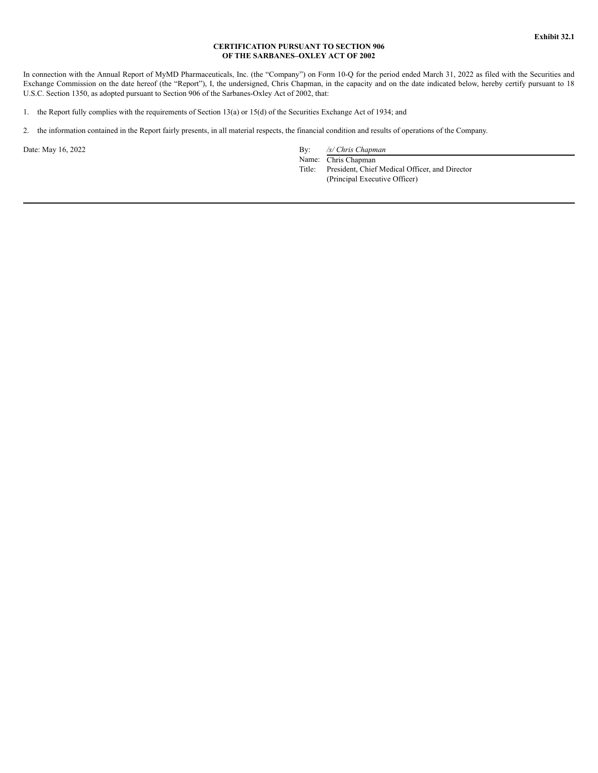#### **CERTIFICATION PURSUANT TO SECTION 906 OF THE SARBANES–OXLEY ACT OF 2002**

In connection with the Annual Report of MyMD Pharmaceuticals, Inc. (the "Company") on Form 10-Q for the period ended March 31, 2022 as filed with the Securities and Exchange Commission on the date hereof (the "Report"), I, the undersigned, Chris Chapman, in the capacity and on the date indicated below, hereby certify pursuant to 18 U.S.C. Section 1350, as adopted pursuant to Section 906 of the Sarbanes-Oxley Act of 2002, that:

1. the Report fully complies with the requirements of Section 13(a) or 15(d) of the Securities Exchange Act of 1934; and

2. the information contained in the Report fairly presents, in all material respects, the financial condition and results of operations of the Company.

Date: May 16, 2022 By: /s/ *Chris Chapman* 

Name: Chris Chapman Title: President, Chief Medical Officer, and Director (Principal Executive Officer)